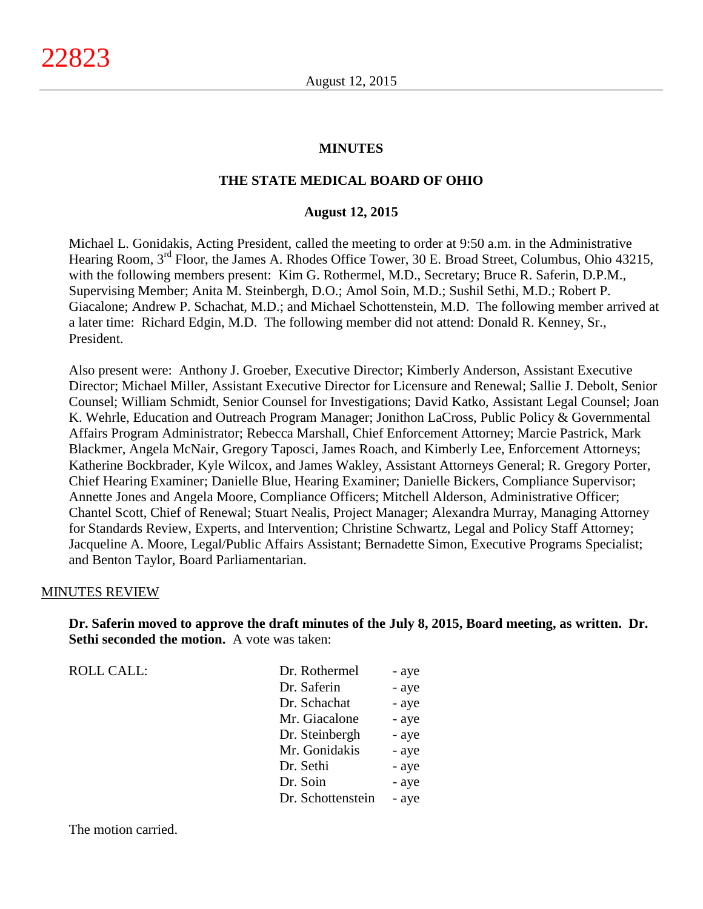#### **MINUTES**

#### **THE STATE MEDICAL BOARD OF OHIO**

#### **August 12, 2015**

Michael L. Gonidakis, Acting President, called the meeting to order at 9:50 a.m. in the Administrative Hearing Room, 3<sup>rd</sup> Floor, the James A. Rhodes Office Tower, 30 E. Broad Street, Columbus, Ohio 43215, with the following members present: Kim G. Rothermel, M.D., Secretary; Bruce R. Saferin, D.P.M., Supervising Member; Anita M. Steinbergh, D.O.; Amol Soin, M.D.; Sushil Sethi, M.D.; Robert P. Giacalone; Andrew P. Schachat, M.D.; and Michael Schottenstein, M.D. The following member arrived at a later time: Richard Edgin, M.D. The following member did not attend: Donald R. Kenney, Sr., President.

Also present were: Anthony J. Groeber, Executive Director; Kimberly Anderson, Assistant Executive Director; Michael Miller, Assistant Executive Director for Licensure and Renewal; Sallie J. Debolt, Senior Counsel; William Schmidt, Senior Counsel for Investigations; David Katko, Assistant Legal Counsel; Joan K. Wehrle, Education and Outreach Program Manager; Jonithon LaCross, Public Policy & Governmental Affairs Program Administrator; Rebecca Marshall, Chief Enforcement Attorney; Marcie Pastrick, Mark Blackmer, Angela McNair, Gregory Taposci, James Roach, and Kimberly Lee, Enforcement Attorneys; Katherine Bockbrader, Kyle Wilcox, and James Wakley, Assistant Attorneys General; R. Gregory Porter, Chief Hearing Examiner; Danielle Blue, Hearing Examiner; Danielle Bickers, Compliance Supervisor; Annette Jones and Angela Moore, Compliance Officers; Mitchell Alderson, Administrative Officer; Chantel Scott, Chief of Renewal; Stuart Nealis, Project Manager; Alexandra Murray, Managing Attorney for Standards Review, Experts, and Intervention; Christine Schwartz, Legal and Policy Staff Attorney; Jacqueline A. Moore, Legal/Public Affairs Assistant; Bernadette Simon, Executive Programs Specialist; and Benton Taylor, Board Parliamentarian.

#### MINUTES REVIEW

**Dr. Saferin moved to approve the draft minutes of the July 8, 2015, Board meeting, as written. Dr. Sethi seconded the motion.** A vote was taken:

| <b>ROLL CALL:</b> | Dr. Rothermel     | - aye |
|-------------------|-------------------|-------|
|                   | Dr. Saferin       | - aye |
|                   | Dr. Schachat      | - aye |
|                   | Mr. Giacalone     | - aye |
|                   | Dr. Steinbergh    | - aye |
|                   | Mr. Gonidakis     | - aye |
|                   | Dr. Sethi         | - aye |
|                   | Dr. Soin          | - aye |
|                   | Dr. Schottenstein | - aye |

The motion carried.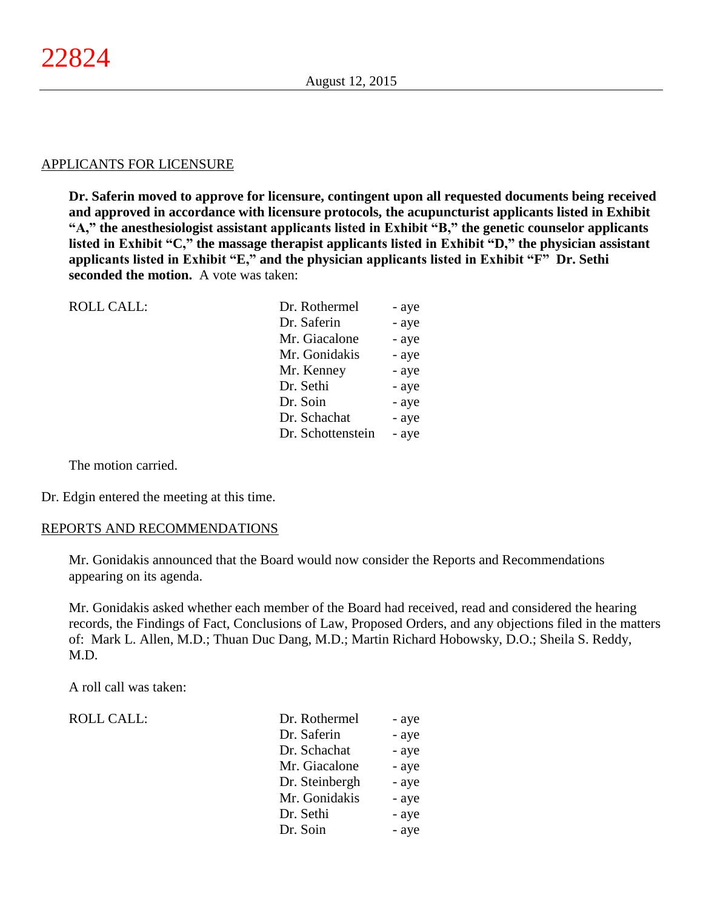#### APPLICANTS FOR LICENSURE

**Dr. Saferin moved to approve for licensure, contingent upon all requested documents being received and approved in accordance with licensure protocols, the acupuncturist applicants listed in Exhibit "A," the anesthesiologist assistant applicants listed in Exhibit "B," the genetic counselor applicants listed in Exhibit "C," the massage therapist applicants listed in Exhibit "D," the physician assistant applicants listed in Exhibit "E," and the physician applicants listed in Exhibit "F" Dr. Sethi seconded the motion.** A vote was taken:

| <b>ROLL CALL:</b> | Dr. Rothermel     | - aye |
|-------------------|-------------------|-------|
|                   | Dr. Saferin       | - aye |
|                   | Mr. Giacalone     | - aye |
|                   | Mr. Gonidakis     | - aye |
|                   | Mr. Kenney        | - aye |
|                   | Dr. Sethi         | - aye |
|                   | Dr. Soin          | - aye |
|                   | Dr. Schachat      | - aye |
|                   | Dr. Schottenstein | - aye |
|                   |                   |       |

The motion carried.

Dr. Edgin entered the meeting at this time.

#### REPORTS AND RECOMMENDATIONS

Mr. Gonidakis announced that the Board would now consider the Reports and Recommendations appearing on its agenda.

Mr. Gonidakis asked whether each member of the Board had received, read and considered the hearing records, the Findings of Fact, Conclusions of Law, Proposed Orders, and any objections filed in the matters of: Mark L. Allen, M.D.; Thuan Duc Dang, M.D.; Martin Richard Hobowsky, D.O.; Sheila S. Reddy, M.D.

A roll call was taken:

ROLL CALL:

| Dr. Rothermel  | - aye |
|----------------|-------|
| Dr. Saferin    | - aye |
| Dr. Schachat   | - aye |
| Mr. Giacalone  | - aye |
| Dr. Steinbergh | - aye |
| Mr. Gonidakis  | - aye |
| Dr. Sethi      | - aye |
| Dr. Soin       | - aye |
|                |       |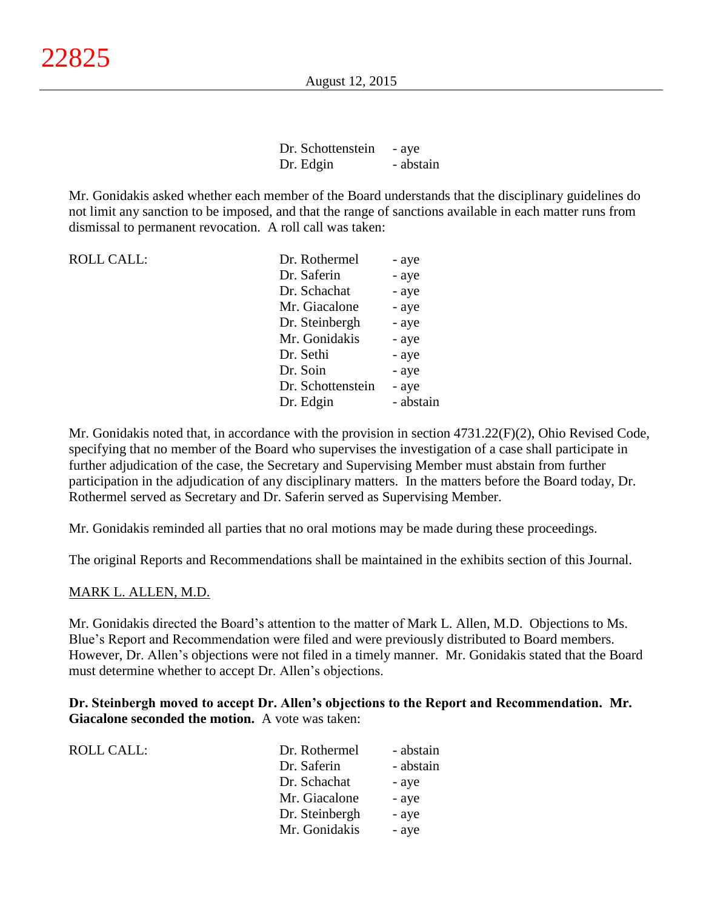Dr. Schottenstein - aye Dr. Edgin - abstain

Mr. Gonidakis asked whether each member of the Board understands that the disciplinary guidelines do not limit any sanction to be imposed, and that the range of sanctions available in each matter runs from dismissal to permanent revocation. A roll call was taken:

| <b>ROLL CALL:</b> | Dr. Rothermel     | - aye     |
|-------------------|-------------------|-----------|
|                   | Dr. Saferin       | - aye     |
|                   | Dr. Schachat      | - aye     |
|                   | Mr. Giacalone     | - aye     |
|                   | Dr. Steinbergh    | - aye     |
|                   | Mr. Gonidakis     | - aye     |
|                   | Dr. Sethi         | - aye     |
|                   | Dr. Soin          | - aye     |
|                   | Dr. Schottenstein | - aye     |
|                   | Dr. Edgin         | - abstain |

Mr. Gonidakis noted that, in accordance with the provision in section 4731.22(F)(2), Ohio Revised Code, specifying that no member of the Board who supervises the investigation of a case shall participate in further adjudication of the case, the Secretary and Supervising Member must abstain from further participation in the adjudication of any disciplinary matters. In the matters before the Board today, Dr. Rothermel served as Secretary and Dr. Saferin served as Supervising Member.

Mr. Gonidakis reminded all parties that no oral motions may be made during these proceedings.

The original Reports and Recommendations shall be maintained in the exhibits section of this Journal.

## MARK L. ALLEN, M.D.

Mr. Gonidakis directed the Board's attention to the matter of Mark L. Allen, M.D. Objections to Ms. Blue's Report and Recommendation were filed and were previously distributed to Board members. However, Dr. Allen's objections were not filed in a timely manner. Mr. Gonidakis stated that the Board must determine whether to accept Dr. Allen's objections.

**Dr. Steinbergh moved to accept Dr. Allen's objections to the Report and Recommendation. Mr. Giacalone seconded the motion.** A vote was taken:

| <b>ROLL CALL:</b> | Dr. Rothermel  | - abstain |
|-------------------|----------------|-----------|
|                   | Dr. Saferin    | - abstain |
|                   | Dr. Schachat   | - aye     |
|                   | Mr. Giacalone  | - aye     |
|                   | Dr. Steinbergh | - aye     |
|                   | Mr. Gonidakis  | - aye     |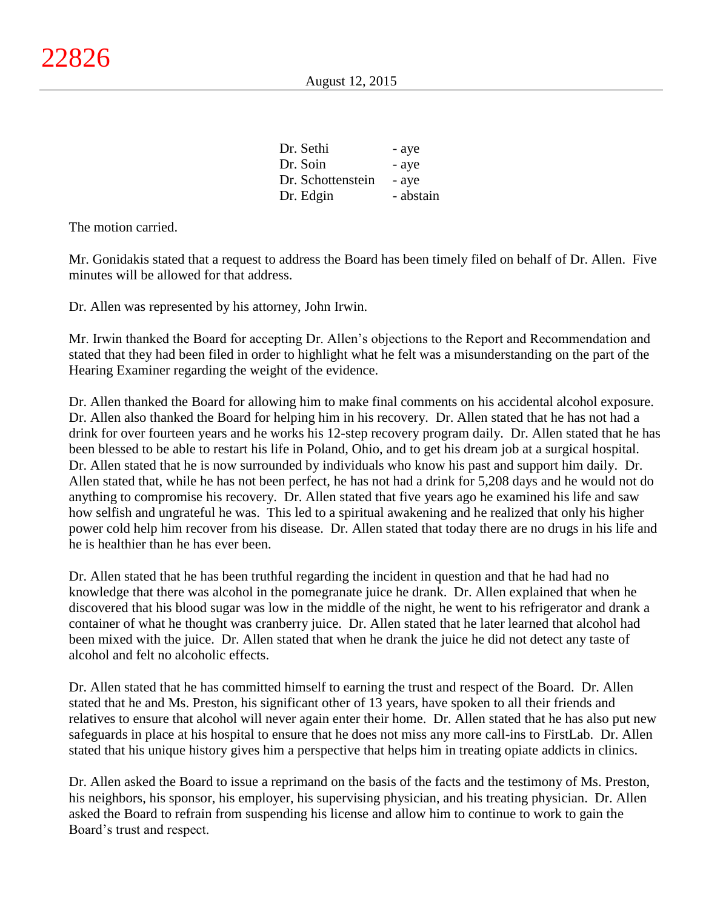| Dr. Sethi         | - aye     |
|-------------------|-----------|
| Dr. Soin          | - aye     |
| Dr. Schottenstein | - aye     |
| Dr. Edgin         | - abstain |

Mr. Gonidakis stated that a request to address the Board has been timely filed on behalf of Dr. Allen. Five minutes will be allowed for that address.

Dr. Allen was represented by his attorney, John Irwin.

Mr. Irwin thanked the Board for accepting Dr. Allen's objections to the Report and Recommendation and stated that they had been filed in order to highlight what he felt was a misunderstanding on the part of the Hearing Examiner regarding the weight of the evidence.

Dr. Allen thanked the Board for allowing him to make final comments on his accidental alcohol exposure. Dr. Allen also thanked the Board for helping him in his recovery. Dr. Allen stated that he has not had a drink for over fourteen years and he works his 12-step recovery program daily. Dr. Allen stated that he has been blessed to be able to restart his life in Poland, Ohio, and to get his dream job at a surgical hospital. Dr. Allen stated that he is now surrounded by individuals who know his past and support him daily. Dr. Allen stated that, while he has not been perfect, he has not had a drink for 5,208 days and he would not do anything to compromise his recovery. Dr. Allen stated that five years ago he examined his life and saw how selfish and ungrateful he was. This led to a spiritual awakening and he realized that only his higher power cold help him recover from his disease. Dr. Allen stated that today there are no drugs in his life and he is healthier than he has ever been.

Dr. Allen stated that he has been truthful regarding the incident in question and that he had had no knowledge that there was alcohol in the pomegranate juice he drank. Dr. Allen explained that when he discovered that his blood sugar was low in the middle of the night, he went to his refrigerator and drank a container of what he thought was cranberry juice. Dr. Allen stated that he later learned that alcohol had been mixed with the juice. Dr. Allen stated that when he drank the juice he did not detect any taste of alcohol and felt no alcoholic effects.

Dr. Allen stated that he has committed himself to earning the trust and respect of the Board. Dr. Allen stated that he and Ms. Preston, his significant other of 13 years, have spoken to all their friends and relatives to ensure that alcohol will never again enter their home. Dr. Allen stated that he has also put new safeguards in place at his hospital to ensure that he does not miss any more call-ins to FirstLab. Dr. Allen stated that his unique history gives him a perspective that helps him in treating opiate addicts in clinics.

Dr. Allen asked the Board to issue a reprimand on the basis of the facts and the testimony of Ms. Preston, his neighbors, his sponsor, his employer, his supervising physician, and his treating physician. Dr. Allen asked the Board to refrain from suspending his license and allow him to continue to work to gain the Board's trust and respect.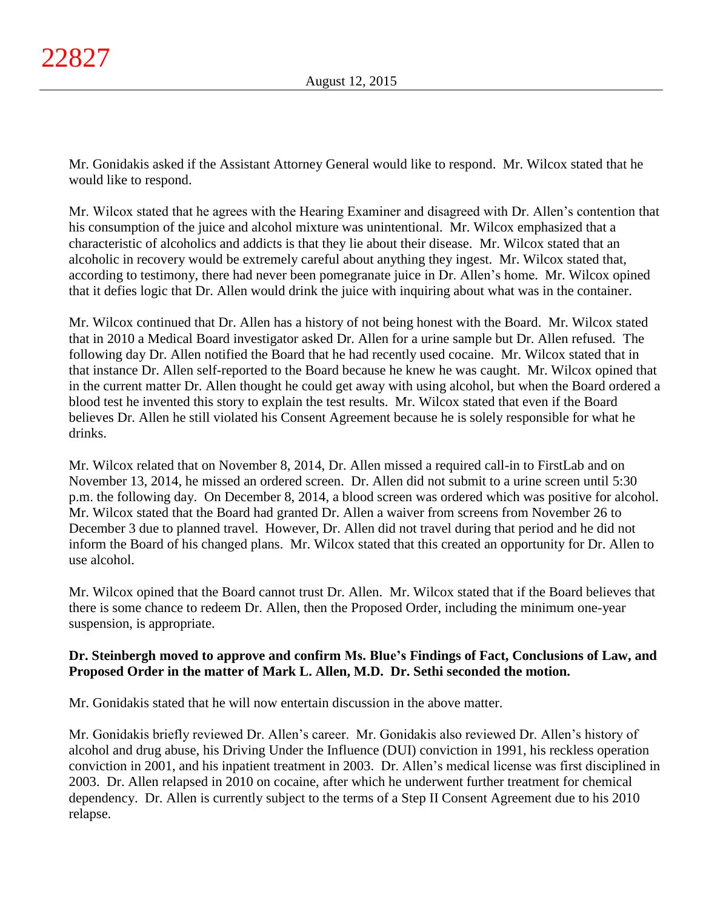Mr. Gonidakis asked if the Assistant Attorney General would like to respond. Mr. Wilcox stated that he would like to respond.

Mr. Wilcox stated that he agrees with the Hearing Examiner and disagreed with Dr. Allen's contention that his consumption of the juice and alcohol mixture was unintentional. Mr. Wilcox emphasized that a characteristic of alcoholics and addicts is that they lie about their disease. Mr. Wilcox stated that an alcoholic in recovery would be extremely careful about anything they ingest. Mr. Wilcox stated that, according to testimony, there had never been pomegranate juice in Dr. Allen's home. Mr. Wilcox opined that it defies logic that Dr. Allen would drink the juice with inquiring about what was in the container.

Mr. Wilcox continued that Dr. Allen has a history of not being honest with the Board. Mr. Wilcox stated that in 2010 a Medical Board investigator asked Dr. Allen for a urine sample but Dr. Allen refused. The following day Dr. Allen notified the Board that he had recently used cocaine. Mr. Wilcox stated that in that instance Dr. Allen self-reported to the Board because he knew he was caught. Mr. Wilcox opined that in the current matter Dr. Allen thought he could get away with using alcohol, but when the Board ordered a blood test he invented this story to explain the test results. Mr. Wilcox stated that even if the Board believes Dr. Allen he still violated his Consent Agreement because he is solely responsible for what he drinks.

Mr. Wilcox related that on November 8, 2014, Dr. Allen missed a required call-in to FirstLab and on November 13, 2014, he missed an ordered screen. Dr. Allen did not submit to a urine screen until 5:30 p.m. the following day. On December 8, 2014, a blood screen was ordered which was positive for alcohol. Mr. Wilcox stated that the Board had granted Dr. Allen a waiver from screens from November 26 to December 3 due to planned travel. However, Dr. Allen did not travel during that period and he did not inform the Board of his changed plans. Mr. Wilcox stated that this created an opportunity for Dr. Allen to use alcohol.

Mr. Wilcox opined that the Board cannot trust Dr. Allen. Mr. Wilcox stated that if the Board believes that there is some chance to redeem Dr. Allen, then the Proposed Order, including the minimum one-year suspension, is appropriate.

# **Dr. Steinbergh moved to approve and confirm Ms. Blue's Findings of Fact, Conclusions of Law, and Proposed Order in the matter of Mark L. Allen, M.D. Dr. Sethi seconded the motion.**

Mr. Gonidakis stated that he will now entertain discussion in the above matter.

Mr. Gonidakis briefly reviewed Dr. Allen's career. Mr. Gonidakis also reviewed Dr. Allen's history of alcohol and drug abuse, his Driving Under the Influence (DUI) conviction in 1991, his reckless operation conviction in 2001, and his inpatient treatment in 2003. Dr. Allen's medical license was first disciplined in 2003. Dr. Allen relapsed in 2010 on cocaine, after which he underwent further treatment for chemical dependency. Dr. Allen is currently subject to the terms of a Step II Consent Agreement due to his 2010 relapse.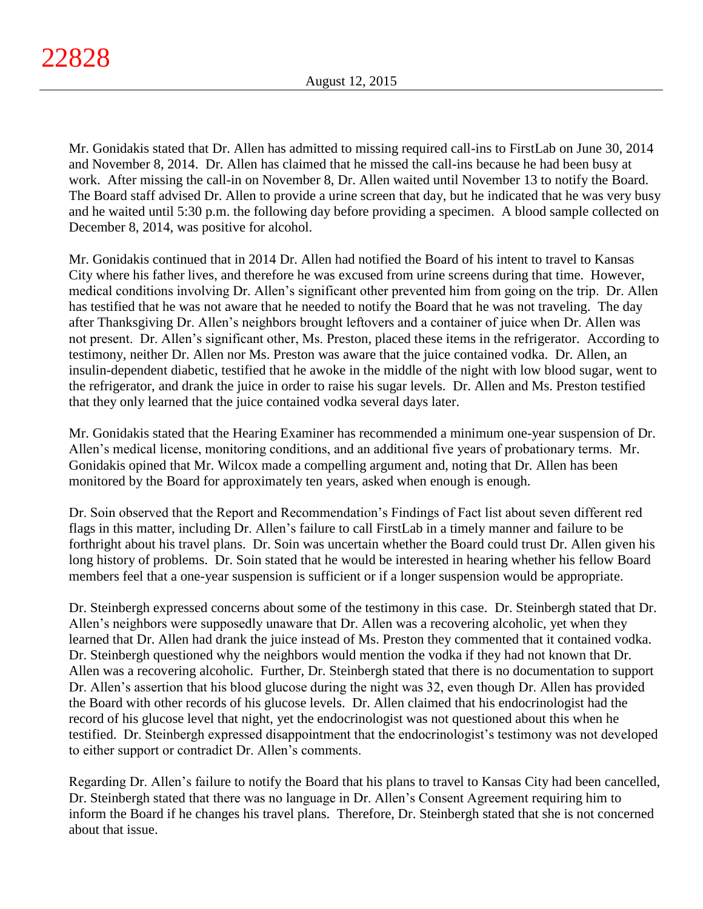Mr. Gonidakis stated that Dr. Allen has admitted to missing required call-ins to FirstLab on June 30, 2014 and November 8, 2014. Dr. Allen has claimed that he missed the call-ins because he had been busy at work. After missing the call-in on November 8, Dr. Allen waited until November 13 to notify the Board. The Board staff advised Dr. Allen to provide a urine screen that day, but he indicated that he was very busy and he waited until 5:30 p.m. the following day before providing a specimen. A blood sample collected on December 8, 2014, was positive for alcohol.

Mr. Gonidakis continued that in 2014 Dr. Allen had notified the Board of his intent to travel to Kansas City where his father lives, and therefore he was excused from urine screens during that time. However, medical conditions involving Dr. Allen's significant other prevented him from going on the trip. Dr. Allen has testified that he was not aware that he needed to notify the Board that he was not traveling. The day after Thanksgiving Dr. Allen's neighbors brought leftovers and a container of juice when Dr. Allen was not present. Dr. Allen's significant other, Ms. Preston, placed these items in the refrigerator. According to testimony, neither Dr. Allen nor Ms. Preston was aware that the juice contained vodka. Dr. Allen, an insulin-dependent diabetic, testified that he awoke in the middle of the night with low blood sugar, went to the refrigerator, and drank the juice in order to raise his sugar levels. Dr. Allen and Ms. Preston testified that they only learned that the juice contained vodka several days later.

Mr. Gonidakis stated that the Hearing Examiner has recommended a minimum one-year suspension of Dr. Allen's medical license, monitoring conditions, and an additional five years of probationary terms. Mr. Gonidakis opined that Mr. Wilcox made a compelling argument and, noting that Dr. Allen has been monitored by the Board for approximately ten years, asked when enough is enough.

Dr. Soin observed that the Report and Recommendation's Findings of Fact list about seven different red flags in this matter, including Dr. Allen's failure to call FirstLab in a timely manner and failure to be forthright about his travel plans. Dr. Soin was uncertain whether the Board could trust Dr. Allen given his long history of problems. Dr. Soin stated that he would be interested in hearing whether his fellow Board members feel that a one-year suspension is sufficient or if a longer suspension would be appropriate.

Dr. Steinbergh expressed concerns about some of the testimony in this case. Dr. Steinbergh stated that Dr. Allen's neighbors were supposedly unaware that Dr. Allen was a recovering alcoholic, yet when they learned that Dr. Allen had drank the juice instead of Ms. Preston they commented that it contained vodka. Dr. Steinbergh questioned why the neighbors would mention the vodka if they had not known that Dr. Allen was a recovering alcoholic. Further, Dr. Steinbergh stated that there is no documentation to support Dr. Allen's assertion that his blood glucose during the night was 32, even though Dr. Allen has provided the Board with other records of his glucose levels. Dr. Allen claimed that his endocrinologist had the record of his glucose level that night, yet the endocrinologist was not questioned about this when he testified. Dr. Steinbergh expressed disappointment that the endocrinologist's testimony was not developed to either support or contradict Dr. Allen's comments.

Regarding Dr. Allen's failure to notify the Board that his plans to travel to Kansas City had been cancelled, Dr. Steinbergh stated that there was no language in Dr. Allen's Consent Agreement requiring him to inform the Board if he changes his travel plans. Therefore, Dr. Steinbergh stated that she is not concerned about that issue.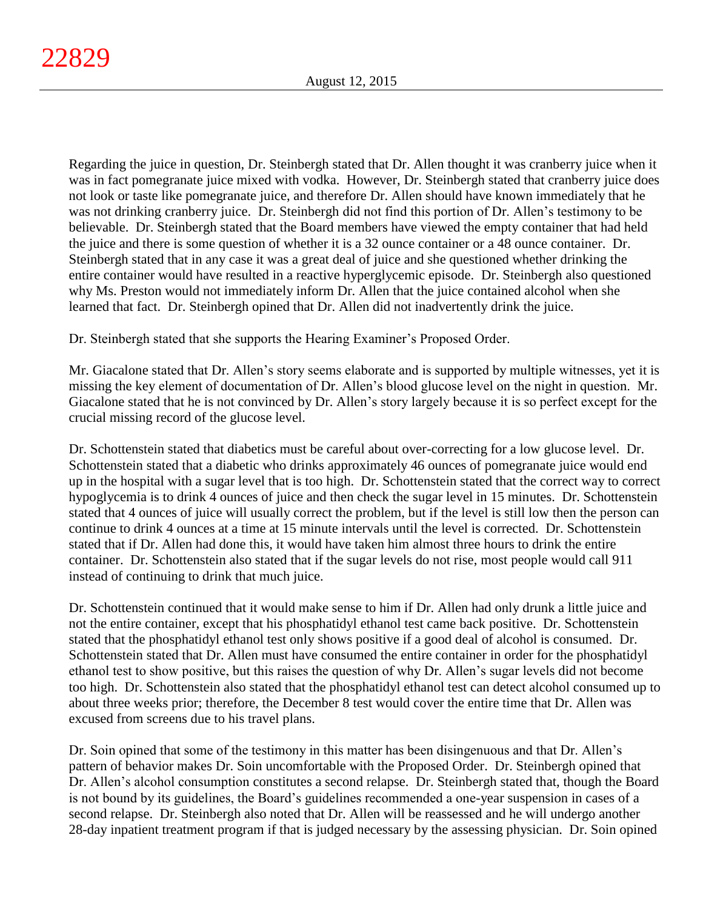Regarding the juice in question, Dr. Steinbergh stated that Dr. Allen thought it was cranberry juice when it was in fact pomegranate juice mixed with vodka. However, Dr. Steinbergh stated that cranberry juice does not look or taste like pomegranate juice, and therefore Dr. Allen should have known immediately that he was not drinking cranberry juice. Dr. Steinbergh did not find this portion of Dr. Allen's testimony to be believable. Dr. Steinbergh stated that the Board members have viewed the empty container that had held the juice and there is some question of whether it is a 32 ounce container or a 48 ounce container. Dr. Steinbergh stated that in any case it was a great deal of juice and she questioned whether drinking the entire container would have resulted in a reactive hyperglycemic episode. Dr. Steinbergh also questioned why Ms. Preston would not immediately inform Dr. Allen that the juice contained alcohol when she learned that fact. Dr. Steinbergh opined that Dr. Allen did not inadvertently drink the juice.

Dr. Steinbergh stated that she supports the Hearing Examiner's Proposed Order.

Mr. Giacalone stated that Dr. Allen's story seems elaborate and is supported by multiple witnesses, yet it is missing the key element of documentation of Dr. Allen's blood glucose level on the night in question. Mr. Giacalone stated that he is not convinced by Dr. Allen's story largely because it is so perfect except for the crucial missing record of the glucose level.

Dr. Schottenstein stated that diabetics must be careful about over-correcting for a low glucose level. Dr. Schottenstein stated that a diabetic who drinks approximately 46 ounces of pomegranate juice would end up in the hospital with a sugar level that is too high. Dr. Schottenstein stated that the correct way to correct hypoglycemia is to drink 4 ounces of juice and then check the sugar level in 15 minutes. Dr. Schottenstein stated that 4 ounces of juice will usually correct the problem, but if the level is still low then the person can continue to drink 4 ounces at a time at 15 minute intervals until the level is corrected. Dr. Schottenstein stated that if Dr. Allen had done this, it would have taken him almost three hours to drink the entire container. Dr. Schottenstein also stated that if the sugar levels do not rise, most people would call 911 instead of continuing to drink that much juice.

Dr. Schottenstein continued that it would make sense to him if Dr. Allen had only drunk a little juice and not the entire container, except that his phosphatidyl ethanol test came back positive. Dr. Schottenstein stated that the phosphatidyl ethanol test only shows positive if a good deal of alcohol is consumed. Dr. Schottenstein stated that Dr. Allen must have consumed the entire container in order for the phosphatidyl ethanol test to show positive, but this raises the question of why Dr. Allen's sugar levels did not become too high. Dr. Schottenstein also stated that the phosphatidyl ethanol test can detect alcohol consumed up to about three weeks prior; therefore, the December 8 test would cover the entire time that Dr. Allen was excused from screens due to his travel plans.

Dr. Soin opined that some of the testimony in this matter has been disingenuous and that Dr. Allen's pattern of behavior makes Dr. Soin uncomfortable with the Proposed Order. Dr. Steinbergh opined that Dr. Allen's alcohol consumption constitutes a second relapse. Dr. Steinbergh stated that, though the Board is not bound by its guidelines, the Board's guidelines recommended a one-year suspension in cases of a second relapse. Dr. Steinbergh also noted that Dr. Allen will be reassessed and he will undergo another 28-day inpatient treatment program if that is judged necessary by the assessing physician. Dr. Soin opined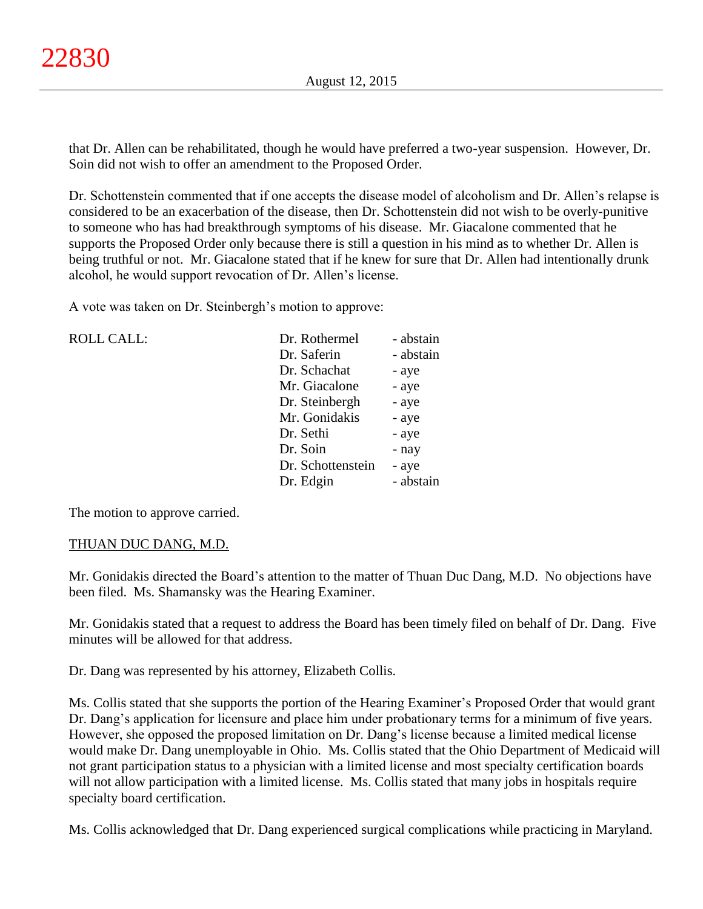that Dr. Allen can be rehabilitated, though he would have preferred a two-year suspension. However, Dr. Soin did not wish to offer an amendment to the Proposed Order.

Dr. Schottenstein commented that if one accepts the disease model of alcoholism and Dr. Allen's relapse is considered to be an exacerbation of the disease, then Dr. Schottenstein did not wish to be overly-punitive to someone who has had breakthrough symptoms of his disease. Mr. Giacalone commented that he supports the Proposed Order only because there is still a question in his mind as to whether Dr. Allen is being truthful or not. Mr. Giacalone stated that if he knew for sure that Dr. Allen had intentionally drunk alcohol, he would support revocation of Dr. Allen's license.

A vote was taken on Dr. Steinbergh's motion to approve:

| <b>ROLL CALL:</b> | Dr. Rothermel     | - abstain |
|-------------------|-------------------|-----------|
|                   | Dr. Saferin       | - abstain |
|                   | Dr. Schachat      | - aye     |
|                   | Mr. Giacalone     | - aye     |
|                   | Dr. Steinbergh    | - aye     |
|                   | Mr. Gonidakis     | - aye     |
|                   | Dr. Sethi         | - aye     |
|                   | Dr. Soin          | - nay     |
|                   | Dr. Schottenstein | - aye     |
|                   | Dr. Edgin         | - abstain |
|                   |                   |           |

The motion to approve carried.

# THUAN DUC DANG, M.D.

Mr. Gonidakis directed the Board's attention to the matter of Thuan Duc Dang, M.D. No objections have been filed. Ms. Shamansky was the Hearing Examiner.

Mr. Gonidakis stated that a request to address the Board has been timely filed on behalf of Dr. Dang. Five minutes will be allowed for that address.

Dr. Dang was represented by his attorney, Elizabeth Collis.

Ms. Collis stated that she supports the portion of the Hearing Examiner's Proposed Order that would grant Dr. Dang's application for licensure and place him under probationary terms for a minimum of five years. However, she opposed the proposed limitation on Dr. Dang's license because a limited medical license would make Dr. Dang unemployable in Ohio. Ms. Collis stated that the Ohio Department of Medicaid will not grant participation status to a physician with a limited license and most specialty certification boards will not allow participation with a limited license. Ms. Collis stated that many jobs in hospitals require specialty board certification.

Ms. Collis acknowledged that Dr. Dang experienced surgical complications while practicing in Maryland.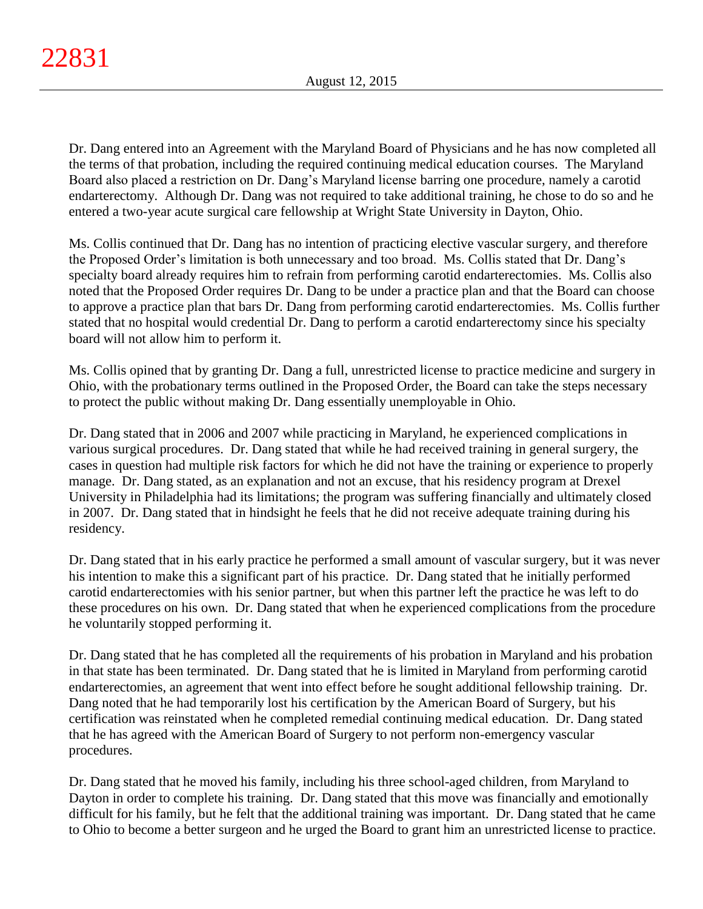Dr. Dang entered into an Agreement with the Maryland Board of Physicians and he has now completed all the terms of that probation, including the required continuing medical education courses. The Maryland Board also placed a restriction on Dr. Dang's Maryland license barring one procedure, namely a carotid endarterectomy. Although Dr. Dang was not required to take additional training, he chose to do so and he entered a two-year acute surgical care fellowship at Wright State University in Dayton, Ohio.

Ms. Collis continued that Dr. Dang has no intention of practicing elective vascular surgery, and therefore the Proposed Order's limitation is both unnecessary and too broad. Ms. Collis stated that Dr. Dang's specialty board already requires him to refrain from performing carotid endarterectomies. Ms. Collis also noted that the Proposed Order requires Dr. Dang to be under a practice plan and that the Board can choose to approve a practice plan that bars Dr. Dang from performing carotid endarterectomies. Ms. Collis further stated that no hospital would credential Dr. Dang to perform a carotid endarterectomy since his specialty board will not allow him to perform it.

Ms. Collis opined that by granting Dr. Dang a full, unrestricted license to practice medicine and surgery in Ohio, with the probationary terms outlined in the Proposed Order, the Board can take the steps necessary to protect the public without making Dr. Dang essentially unemployable in Ohio.

Dr. Dang stated that in 2006 and 2007 while practicing in Maryland, he experienced complications in various surgical procedures. Dr. Dang stated that while he had received training in general surgery, the cases in question had multiple risk factors for which he did not have the training or experience to properly manage. Dr. Dang stated, as an explanation and not an excuse, that his residency program at Drexel University in Philadelphia had its limitations; the program was suffering financially and ultimately closed in 2007. Dr. Dang stated that in hindsight he feels that he did not receive adequate training during his residency.

Dr. Dang stated that in his early practice he performed a small amount of vascular surgery, but it was never his intention to make this a significant part of his practice. Dr. Dang stated that he initially performed carotid endarterectomies with his senior partner, but when this partner left the practice he was left to do these procedures on his own. Dr. Dang stated that when he experienced complications from the procedure he voluntarily stopped performing it.

Dr. Dang stated that he has completed all the requirements of his probation in Maryland and his probation in that state has been terminated. Dr. Dang stated that he is limited in Maryland from performing carotid endarterectomies, an agreement that went into effect before he sought additional fellowship training. Dr. Dang noted that he had temporarily lost his certification by the American Board of Surgery, but his certification was reinstated when he completed remedial continuing medical education. Dr. Dang stated that he has agreed with the American Board of Surgery to not perform non-emergency vascular procedures.

Dr. Dang stated that he moved his family, including his three school-aged children, from Maryland to Dayton in order to complete his training. Dr. Dang stated that this move was financially and emotionally difficult for his family, but he felt that the additional training was important. Dr. Dang stated that he came to Ohio to become a better surgeon and he urged the Board to grant him an unrestricted license to practice.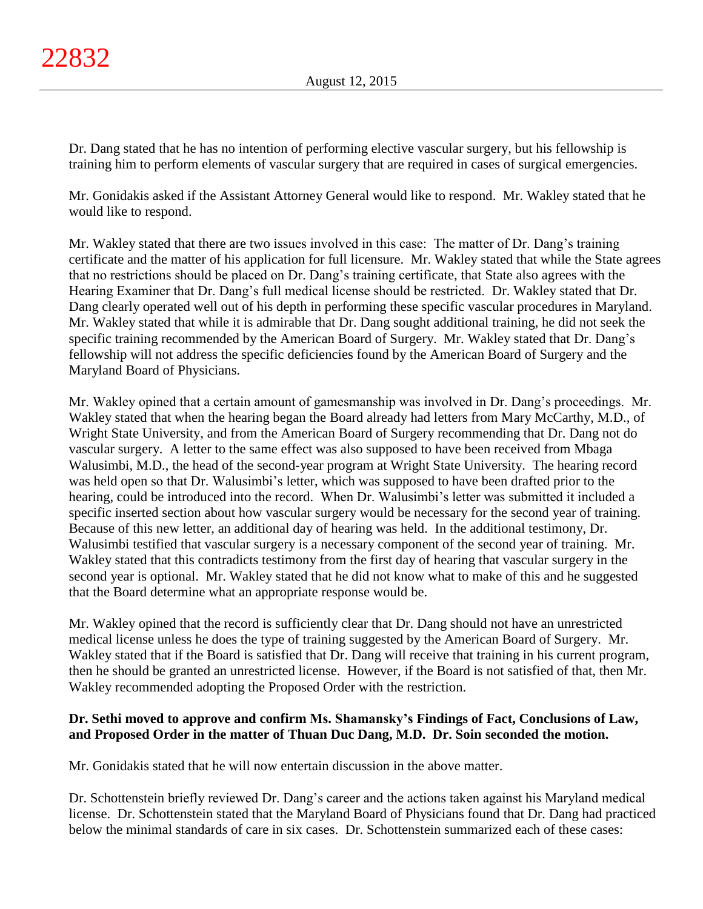Dr. Dang stated that he has no intention of performing elective vascular surgery, but his fellowship is training him to perform elements of vascular surgery that are required in cases of surgical emergencies.

Mr. Gonidakis asked if the Assistant Attorney General would like to respond. Mr. Wakley stated that he would like to respond.

Mr. Wakley stated that there are two issues involved in this case: The matter of Dr. Dang's training certificate and the matter of his application for full licensure. Mr. Wakley stated that while the State agrees that no restrictions should be placed on Dr. Dang's training certificate, that State also agrees with the Hearing Examiner that Dr. Dang's full medical license should be restricted. Dr. Wakley stated that Dr. Dang clearly operated well out of his depth in performing these specific vascular procedures in Maryland. Mr. Wakley stated that while it is admirable that Dr. Dang sought additional training, he did not seek the specific training recommended by the American Board of Surgery. Mr. Wakley stated that Dr. Dang's fellowship will not address the specific deficiencies found by the American Board of Surgery and the Maryland Board of Physicians.

Mr. Wakley opined that a certain amount of gamesmanship was involved in Dr. Dang's proceedings. Mr. Wakley stated that when the hearing began the Board already had letters from Mary McCarthy, M.D., of Wright State University, and from the American Board of Surgery recommending that Dr. Dang not do vascular surgery. A letter to the same effect was also supposed to have been received from Mbaga Walusimbi, M.D., the head of the second-year program at Wright State University. The hearing record was held open so that Dr. Walusimbi's letter, which was supposed to have been drafted prior to the hearing, could be introduced into the record. When Dr. Walusimbi's letter was submitted it included a specific inserted section about how vascular surgery would be necessary for the second year of training. Because of this new letter, an additional day of hearing was held. In the additional testimony, Dr. Walusimbi testified that vascular surgery is a necessary component of the second year of training. Mr. Wakley stated that this contradicts testimony from the first day of hearing that vascular surgery in the second year is optional. Mr. Wakley stated that he did not know what to make of this and he suggested that the Board determine what an appropriate response would be.

Mr. Wakley opined that the record is sufficiently clear that Dr. Dang should not have an unrestricted medical license unless he does the type of training suggested by the American Board of Surgery. Mr. Wakley stated that if the Board is satisfied that Dr. Dang will receive that training in his current program, then he should be granted an unrestricted license. However, if the Board is not satisfied of that, then Mr. Wakley recommended adopting the Proposed Order with the restriction.

# **Dr. Sethi moved to approve and confirm Ms. Shamansky's Findings of Fact, Conclusions of Law, and Proposed Order in the matter of Thuan Duc Dang, M.D. Dr. Soin seconded the motion.**

Mr. Gonidakis stated that he will now entertain discussion in the above matter.

Dr. Schottenstein briefly reviewed Dr. Dang's career and the actions taken against his Maryland medical license. Dr. Schottenstein stated that the Maryland Board of Physicians found that Dr. Dang had practiced below the minimal standards of care in six cases. Dr. Schottenstein summarized each of these cases: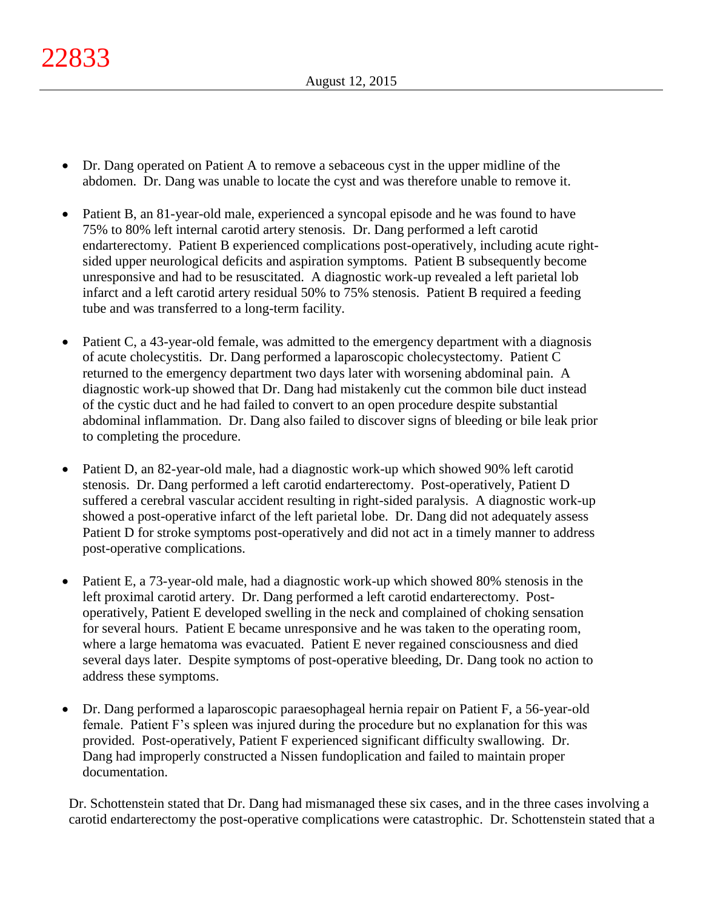- Dr. Dang operated on Patient A to remove a sebaceous cyst in the upper midline of the abdomen. Dr. Dang was unable to locate the cyst and was therefore unable to remove it.
- Patient B, an 81-year-old male, experienced a syncopal episode and he was found to have 75% to 80% left internal carotid artery stenosis. Dr. Dang performed a left carotid endarterectomy. Patient B experienced complications post-operatively, including acute rightsided upper neurological deficits and aspiration symptoms. Patient B subsequently become unresponsive and had to be resuscitated. A diagnostic work-up revealed a left parietal lob infarct and a left carotid artery residual 50% to 75% stenosis. Patient B required a feeding tube and was transferred to a long-term facility.
- Patient C, a 43-year-old female, was admitted to the emergency department with a diagnosis of acute cholecystitis. Dr. Dang performed a laparoscopic cholecystectomy. Patient C returned to the emergency department two days later with worsening abdominal pain. A diagnostic work-up showed that Dr. Dang had mistakenly cut the common bile duct instead of the cystic duct and he had failed to convert to an open procedure despite substantial abdominal inflammation. Dr. Dang also failed to discover signs of bleeding or bile leak prior to completing the procedure.
- Patient D, an 82-year-old male, had a diagnostic work-up which showed 90% left carotid stenosis. Dr. Dang performed a left carotid endarterectomy. Post-operatively, Patient D suffered a cerebral vascular accident resulting in right-sided paralysis. A diagnostic work-up showed a post-operative infarct of the left parietal lobe. Dr. Dang did not adequately assess Patient D for stroke symptoms post-operatively and did not act in a timely manner to address post-operative complications.
- Patient E, a 73-year-old male, had a diagnostic work-up which showed 80% stenosis in the left proximal carotid artery. Dr. Dang performed a left carotid endarterectomy. Postoperatively, Patient E developed swelling in the neck and complained of choking sensation for several hours. Patient E became unresponsive and he was taken to the operating room, where a large hematoma was evacuated. Patient E never regained consciousness and died several days later. Despite symptoms of post-operative bleeding, Dr. Dang took no action to address these symptoms.
- Dr. Dang performed a laparoscopic paraesophageal hernia repair on Patient F, a 56-year-old female. Patient F's spleen was injured during the procedure but no explanation for this was provided. Post-operatively, Patient F experienced significant difficulty swallowing. Dr. Dang had improperly constructed a Nissen fundoplication and failed to maintain proper documentation.

Dr. Schottenstein stated that Dr. Dang had mismanaged these six cases, and in the three cases involving a carotid endarterectomy the post-operative complications were catastrophic. Dr. Schottenstein stated that a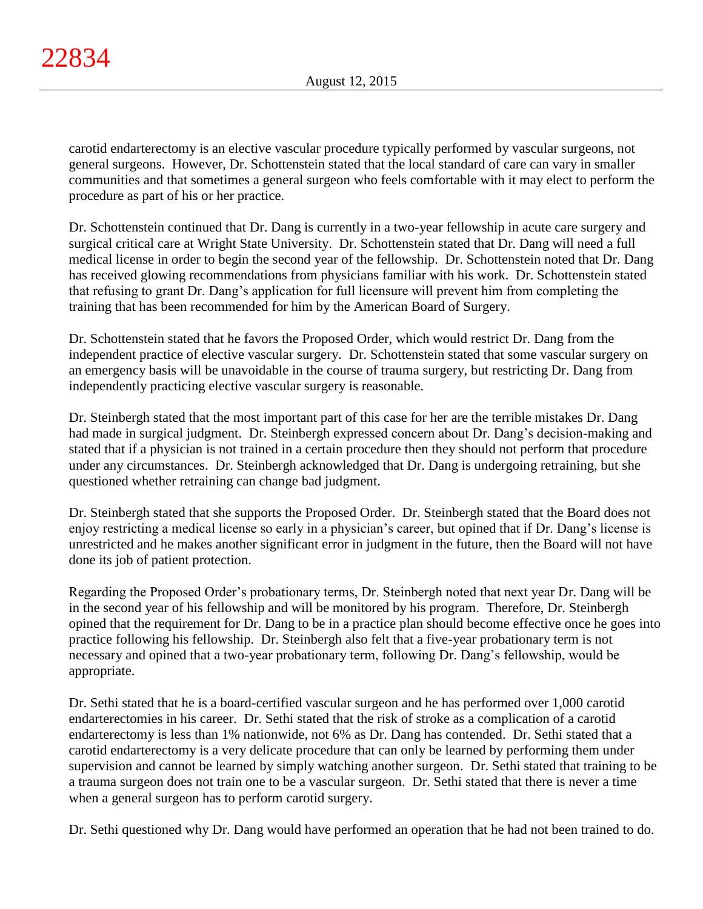carotid endarterectomy is an elective vascular procedure typically performed by vascular surgeons, not general surgeons. However, Dr. Schottenstein stated that the local standard of care can vary in smaller communities and that sometimes a general surgeon who feels comfortable with it may elect to perform the procedure as part of his or her practice.

Dr. Schottenstein continued that Dr. Dang is currently in a two-year fellowship in acute care surgery and surgical critical care at Wright State University. Dr. Schottenstein stated that Dr. Dang will need a full medical license in order to begin the second year of the fellowship. Dr. Schottenstein noted that Dr. Dang has received glowing recommendations from physicians familiar with his work. Dr. Schottenstein stated that refusing to grant Dr. Dang's application for full licensure will prevent him from completing the training that has been recommended for him by the American Board of Surgery.

Dr. Schottenstein stated that he favors the Proposed Order, which would restrict Dr. Dang from the independent practice of elective vascular surgery. Dr. Schottenstein stated that some vascular surgery on an emergency basis will be unavoidable in the course of trauma surgery, but restricting Dr. Dang from independently practicing elective vascular surgery is reasonable.

Dr. Steinbergh stated that the most important part of this case for her are the terrible mistakes Dr. Dang had made in surgical judgment. Dr. Steinbergh expressed concern about Dr. Dang's decision-making and stated that if a physician is not trained in a certain procedure then they should not perform that procedure under any circumstances. Dr. Steinbergh acknowledged that Dr. Dang is undergoing retraining, but she questioned whether retraining can change bad judgment.

Dr. Steinbergh stated that she supports the Proposed Order. Dr. Steinbergh stated that the Board does not enjoy restricting a medical license so early in a physician's career, but opined that if Dr. Dang's license is unrestricted and he makes another significant error in judgment in the future, then the Board will not have done its job of patient protection.

Regarding the Proposed Order's probationary terms, Dr. Steinbergh noted that next year Dr. Dang will be in the second year of his fellowship and will be monitored by his program. Therefore, Dr. Steinbergh opined that the requirement for Dr. Dang to be in a practice plan should become effective once he goes into practice following his fellowship. Dr. Steinbergh also felt that a five-year probationary term is not necessary and opined that a two-year probationary term, following Dr. Dang's fellowship, would be appropriate.

Dr. Sethi stated that he is a board-certified vascular surgeon and he has performed over 1,000 carotid endarterectomies in his career. Dr. Sethi stated that the risk of stroke as a complication of a carotid endarterectomy is less than 1% nationwide, not 6% as Dr. Dang has contended. Dr. Sethi stated that a carotid endarterectomy is a very delicate procedure that can only be learned by performing them under supervision and cannot be learned by simply watching another surgeon. Dr. Sethi stated that training to be a trauma surgeon does not train one to be a vascular surgeon. Dr. Sethi stated that there is never a time when a general surgeon has to perform carotid surgery.

Dr. Sethi questioned why Dr. Dang would have performed an operation that he had not been trained to do.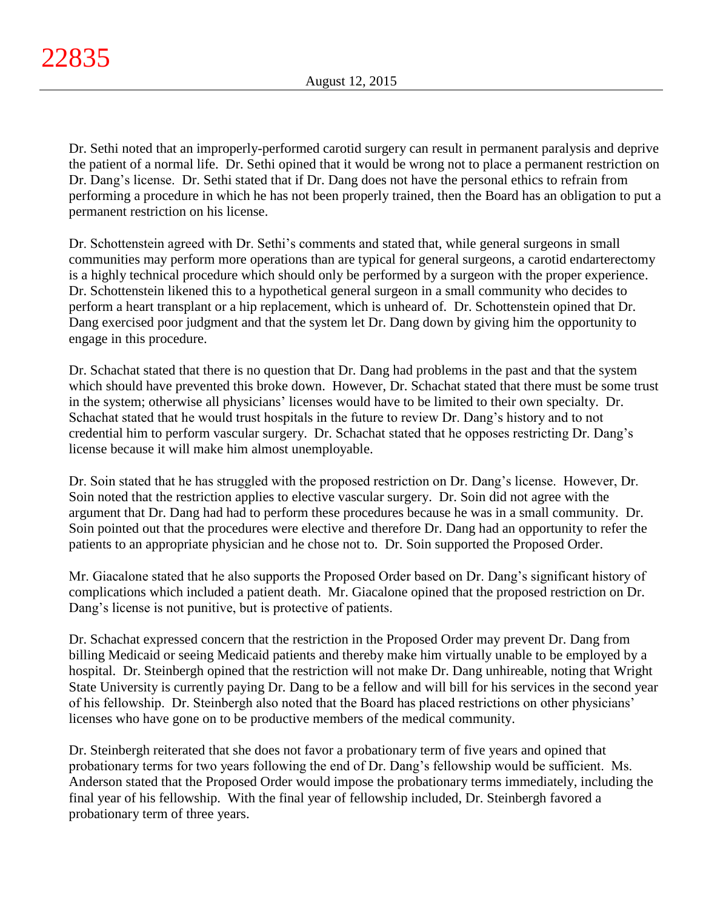Dr. Sethi noted that an improperly-performed carotid surgery can result in permanent paralysis and deprive the patient of a normal life. Dr. Sethi opined that it would be wrong not to place a permanent restriction on Dr. Dang's license. Dr. Sethi stated that if Dr. Dang does not have the personal ethics to refrain from performing a procedure in which he has not been properly trained, then the Board has an obligation to put a permanent restriction on his license.

Dr. Schottenstein agreed with Dr. Sethi's comments and stated that, while general surgeons in small communities may perform more operations than are typical for general surgeons, a carotid endarterectomy is a highly technical procedure which should only be performed by a surgeon with the proper experience. Dr. Schottenstein likened this to a hypothetical general surgeon in a small community who decides to perform a heart transplant or a hip replacement, which is unheard of. Dr. Schottenstein opined that Dr. Dang exercised poor judgment and that the system let Dr. Dang down by giving him the opportunity to engage in this procedure.

Dr. Schachat stated that there is no question that Dr. Dang had problems in the past and that the system which should have prevented this broke down. However, Dr. Schachat stated that there must be some trust in the system; otherwise all physicians' licenses would have to be limited to their own specialty. Dr. Schachat stated that he would trust hospitals in the future to review Dr. Dang's history and to not credential him to perform vascular surgery. Dr. Schachat stated that he opposes restricting Dr. Dang's license because it will make him almost unemployable.

Dr. Soin stated that he has struggled with the proposed restriction on Dr. Dang's license. However, Dr. Soin noted that the restriction applies to elective vascular surgery. Dr. Soin did not agree with the argument that Dr. Dang had had to perform these procedures because he was in a small community. Dr. Soin pointed out that the procedures were elective and therefore Dr. Dang had an opportunity to refer the patients to an appropriate physician and he chose not to. Dr. Soin supported the Proposed Order.

Mr. Giacalone stated that he also supports the Proposed Order based on Dr. Dang's significant history of complications which included a patient death. Mr. Giacalone opined that the proposed restriction on Dr. Dang's license is not punitive, but is protective of patients.

Dr. Schachat expressed concern that the restriction in the Proposed Order may prevent Dr. Dang from billing Medicaid or seeing Medicaid patients and thereby make him virtually unable to be employed by a hospital. Dr. Steinbergh opined that the restriction will not make Dr. Dang unhireable, noting that Wright State University is currently paying Dr. Dang to be a fellow and will bill for his services in the second year of his fellowship. Dr. Steinbergh also noted that the Board has placed restrictions on other physicians' licenses who have gone on to be productive members of the medical community.

Dr. Steinbergh reiterated that she does not favor a probationary term of five years and opined that probationary terms for two years following the end of Dr. Dang's fellowship would be sufficient. Ms. Anderson stated that the Proposed Order would impose the probationary terms immediately, including the final year of his fellowship. With the final year of fellowship included, Dr. Steinbergh favored a probationary term of three years.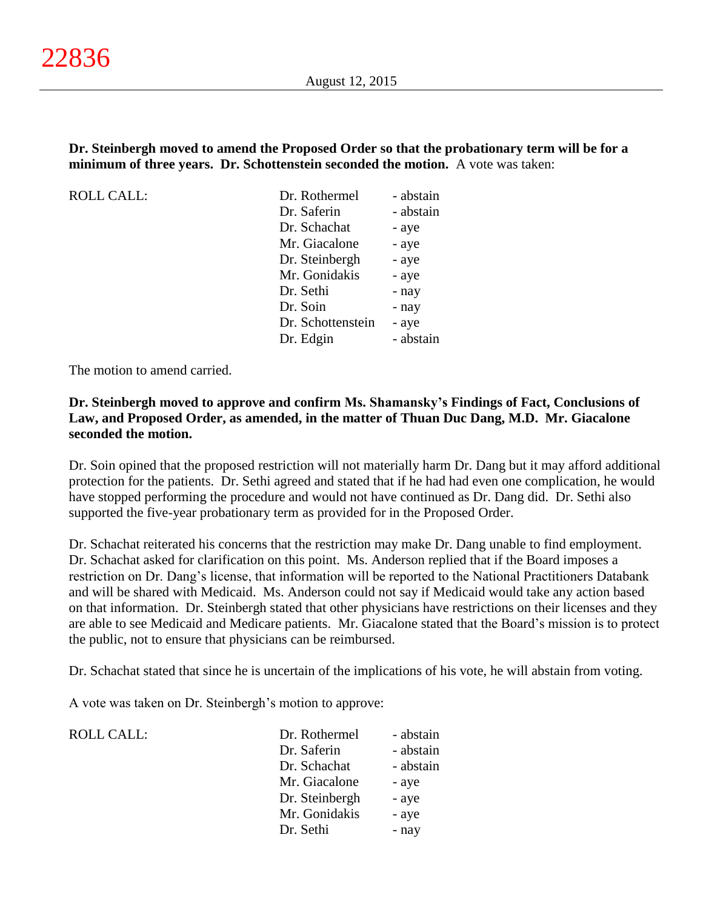## **Dr. Steinbergh moved to amend the Proposed Order so that the probationary term will be for a minimum of three years. Dr. Schottenstein seconded the motion.** A vote was taken:

ROLL CALL:

| - abstain |
|-----------|
| - abstain |
| - aye     |
| - aye     |
| - aye     |
| - aye     |
| - nay     |
| - nay     |
| - aye     |
| - abstain |
|           |

The motion to amend carried.

## **Dr. Steinbergh moved to approve and confirm Ms. Shamansky's Findings of Fact, Conclusions of Law, and Proposed Order, as amended, in the matter of Thuan Duc Dang, M.D. Mr. Giacalone seconded the motion.**

Dr. Soin opined that the proposed restriction will not materially harm Dr. Dang but it may afford additional protection for the patients. Dr. Sethi agreed and stated that if he had had even one complication, he would have stopped performing the procedure and would not have continued as Dr. Dang did. Dr. Sethi also supported the five-year probationary term as provided for in the Proposed Order.

Dr. Schachat reiterated his concerns that the restriction may make Dr. Dang unable to find employment. Dr. Schachat asked for clarification on this point. Ms. Anderson replied that if the Board imposes a restriction on Dr. Dang's license, that information will be reported to the National Practitioners Databank and will be shared with Medicaid. Ms. Anderson could not say if Medicaid would take any action based on that information. Dr. Steinbergh stated that other physicians have restrictions on their licenses and they are able to see Medicaid and Medicare patients. Mr. Giacalone stated that the Board's mission is to protect the public, not to ensure that physicians can be reimbursed.

Dr. Schachat stated that since he is uncertain of the implications of his vote, he will abstain from voting.

A vote was taken on Dr. Steinbergh's motion to approve:

ROLL CALL:

| Dr. Rothermel  | - abstain |
|----------------|-----------|
| Dr. Saferin    | - abstain |
| Dr. Schachat   | - abstain |
| Mr. Giacalone  | - aye     |
| Dr. Steinbergh | - aye     |
| Mr. Gonidakis  | - aye     |
| Dr. Sethi      | - nay     |
|                |           |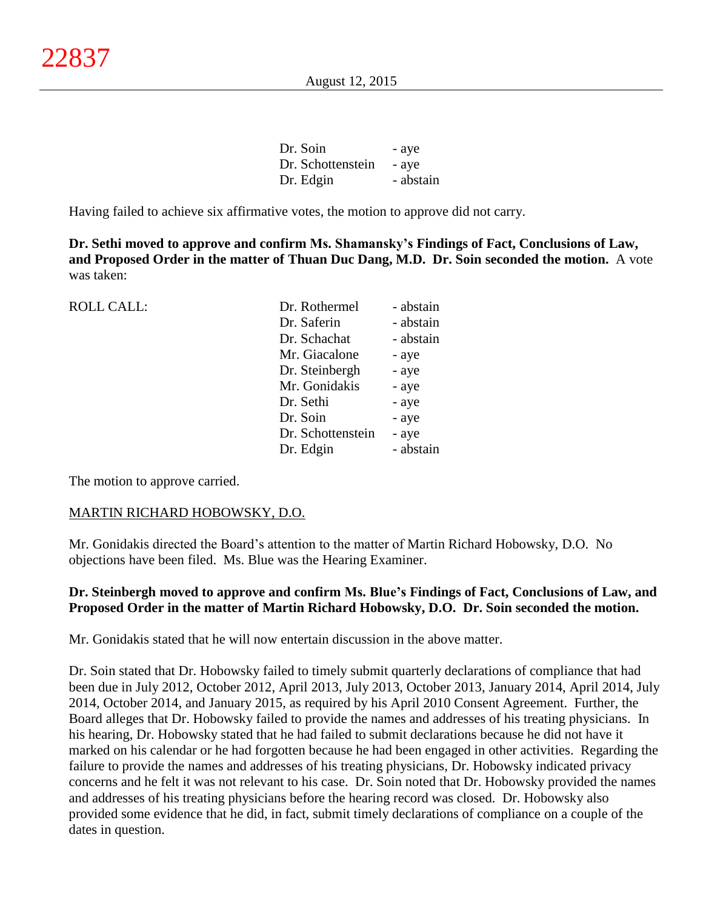| Dr. Soin          | - aye     |
|-------------------|-----------|
| Dr. Schottenstein | - aye     |
| Dr. Edgin         | - abstain |

Having failed to achieve six affirmative votes, the motion to approve did not carry.

**Dr. Sethi moved to approve and confirm Ms. Shamansky's Findings of Fact, Conclusions of Law, and Proposed Order in the matter of Thuan Duc Dang, M.D. Dr. Soin seconded the motion.** A vote was taken:

| <b>ROLL CALL:</b> | Dr. Rothermel     | - abstain |
|-------------------|-------------------|-----------|
|                   | Dr. Saferin       | - abstain |
|                   | Dr. Schachat      | - abstain |
|                   | Mr. Giacalone     | - aye     |
|                   | Dr. Steinbergh    | - aye     |
|                   | Mr. Gonidakis     | - aye     |
|                   | Dr. Sethi         | - aye     |
|                   | Dr. Soin          | - aye     |
|                   | Dr. Schottenstein | - aye     |
|                   | Dr. Edgin         | - abstain |
|                   |                   |           |

The motion to approve carried.

#### MARTIN RICHARD HOBOWSKY, D.O.

Mr. Gonidakis directed the Board's attention to the matter of Martin Richard Hobowsky, D.O. No objections have been filed. Ms. Blue was the Hearing Examiner.

## **Dr. Steinbergh moved to approve and confirm Ms. Blue's Findings of Fact, Conclusions of Law, and Proposed Order in the matter of Martin Richard Hobowsky, D.O. Dr. Soin seconded the motion.**

Mr. Gonidakis stated that he will now entertain discussion in the above matter.

Dr. Soin stated that Dr. Hobowsky failed to timely submit quarterly declarations of compliance that had been due in July 2012, October 2012, April 2013, July 2013, October 2013, January 2014, April 2014, July 2014, October 2014, and January 2015, as required by his April 2010 Consent Agreement. Further, the Board alleges that Dr. Hobowsky failed to provide the names and addresses of his treating physicians. In his hearing, Dr. Hobowsky stated that he had failed to submit declarations because he did not have it marked on his calendar or he had forgotten because he had been engaged in other activities. Regarding the failure to provide the names and addresses of his treating physicians, Dr. Hobowsky indicated privacy concerns and he felt it was not relevant to his case. Dr. Soin noted that Dr. Hobowsky provided the names and addresses of his treating physicians before the hearing record was closed. Dr. Hobowsky also provided some evidence that he did, in fact, submit timely declarations of compliance on a couple of the dates in question.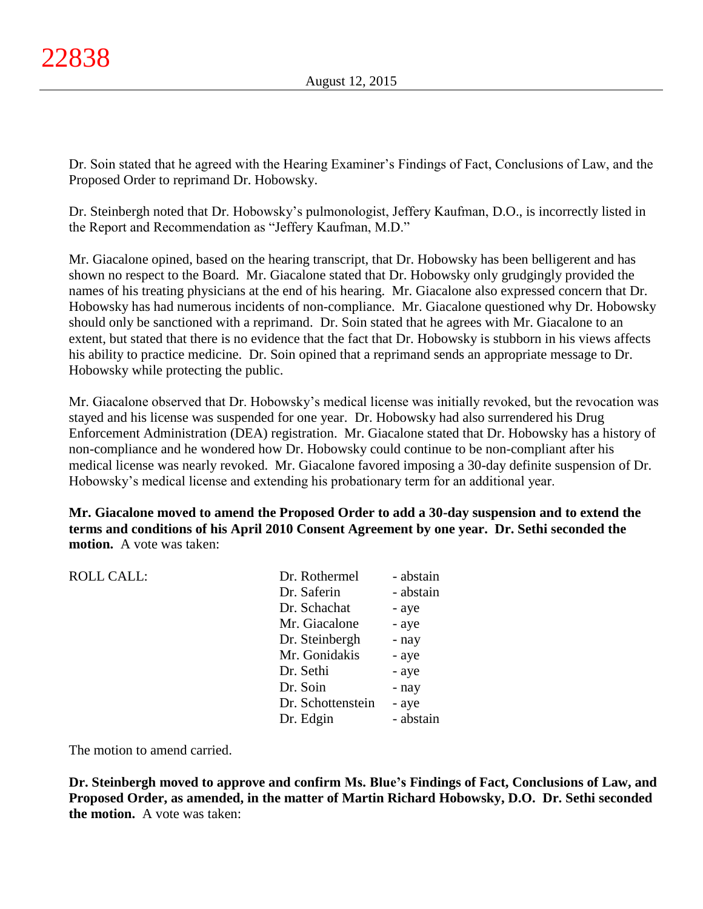Dr. Soin stated that he agreed with the Hearing Examiner's Findings of Fact, Conclusions of Law, and the Proposed Order to reprimand Dr. Hobowsky.

Dr. Steinbergh noted that Dr. Hobowsky's pulmonologist, Jeffery Kaufman, D.O., is incorrectly listed in the Report and Recommendation as "Jeffery Kaufman, M.D."

Mr. Giacalone opined, based on the hearing transcript, that Dr. Hobowsky has been belligerent and has shown no respect to the Board. Mr. Giacalone stated that Dr. Hobowsky only grudgingly provided the names of his treating physicians at the end of his hearing. Mr. Giacalone also expressed concern that Dr. Hobowsky has had numerous incidents of non-compliance. Mr. Giacalone questioned why Dr. Hobowsky should only be sanctioned with a reprimand. Dr. Soin stated that he agrees with Mr. Giacalone to an extent, but stated that there is no evidence that the fact that Dr. Hobowsky is stubborn in his views affects his ability to practice medicine. Dr. Soin opined that a reprimand sends an appropriate message to Dr. Hobowsky while protecting the public.

Mr. Giacalone observed that Dr. Hobowsky's medical license was initially revoked, but the revocation was stayed and his license was suspended for one year. Dr. Hobowsky had also surrendered his Drug Enforcement Administration (DEA) registration. Mr. Giacalone stated that Dr. Hobowsky has a history of non-compliance and he wondered how Dr. Hobowsky could continue to be non-compliant after his medical license was nearly revoked. Mr. Giacalone favored imposing a 30-day definite suspension of Dr. Hobowsky's medical license and extending his probationary term for an additional year.

**Mr. Giacalone moved to amend the Proposed Order to add a 30-day suspension and to extend the terms and conditions of his April 2010 Consent Agreement by one year. Dr. Sethi seconded the motion.** A vote was taken:

| <b>ROLL CALL:</b> | Dr. Rothermel     | - abstain |
|-------------------|-------------------|-----------|
|                   |                   |           |
|                   | Dr. Saferin       | - abstain |
|                   | Dr. Schachat      | - aye     |
|                   | Mr. Giacalone     | - aye     |
|                   | Dr. Steinbergh    | - nay     |
|                   | Mr. Gonidakis     | - aye     |
|                   | Dr. Sethi         | - aye     |
|                   | Dr. Soin          | - nay     |
|                   | Dr. Schottenstein | - aye     |
|                   | Dr. Edgin         | - abstain |
|                   |                   |           |

The motion to amend carried.

**Dr. Steinbergh moved to approve and confirm Ms. Blue's Findings of Fact, Conclusions of Law, and Proposed Order, as amended, in the matter of Martin Richard Hobowsky, D.O. Dr. Sethi seconded the motion.** A vote was taken: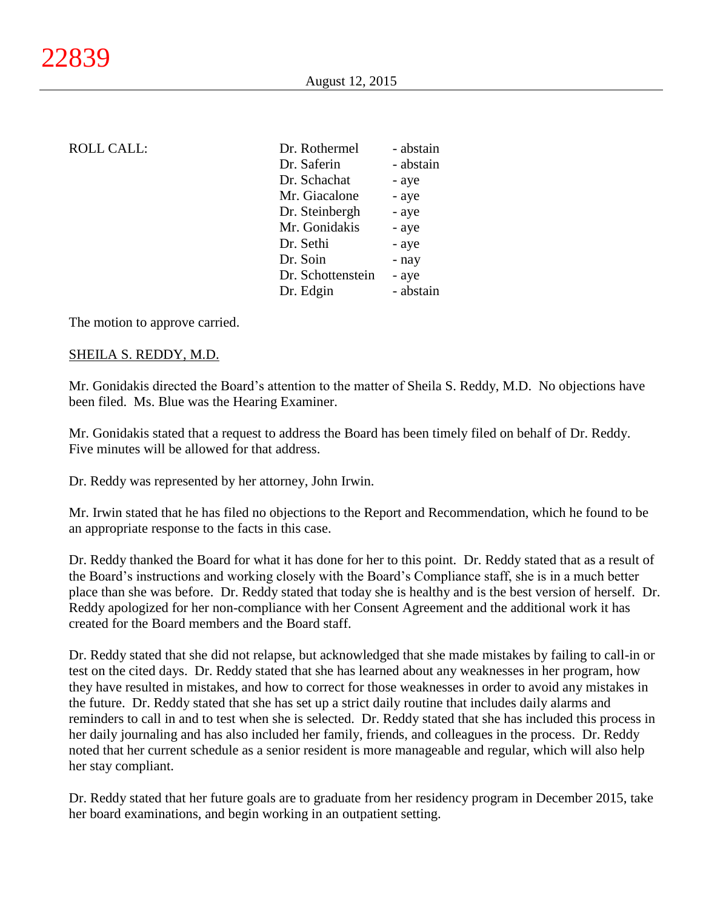## ROLL CALL:

| Dr. Rothermel     | - abstain |
|-------------------|-----------|
| Dr. Saferin       | - abstain |
| Dr. Schachat      | - aye     |
| Mr. Giacalone     | - aye     |
| Dr. Steinbergh    | - aye     |
| Mr. Gonidakis     | - aye     |
| Dr. Sethi         | - aye     |
| Dr. Soin          | - nay     |
| Dr. Schottenstein | - aye     |
| Dr. Edgin         | - abstain |

The motion to approve carried.

#### SHEILA S. REDDY, M.D.

Mr. Gonidakis directed the Board's attention to the matter of Sheila S. Reddy, M.D. No objections have been filed. Ms. Blue was the Hearing Examiner.

Mr. Gonidakis stated that a request to address the Board has been timely filed on behalf of Dr. Reddy. Five minutes will be allowed for that address.

Dr. Reddy was represented by her attorney, John Irwin.

Mr. Irwin stated that he has filed no objections to the Report and Recommendation, which he found to be an appropriate response to the facts in this case.

Dr. Reddy thanked the Board for what it has done for her to this point. Dr. Reddy stated that as a result of the Board's instructions and working closely with the Board's Compliance staff, she is in a much better place than she was before. Dr. Reddy stated that today she is healthy and is the best version of herself. Dr. Reddy apologized for her non-compliance with her Consent Agreement and the additional work it has created for the Board members and the Board staff.

Dr. Reddy stated that she did not relapse, but acknowledged that she made mistakes by failing to call-in or test on the cited days. Dr. Reddy stated that she has learned about any weaknesses in her program, how they have resulted in mistakes, and how to correct for those weaknesses in order to avoid any mistakes in the future. Dr. Reddy stated that she has set up a strict daily routine that includes daily alarms and reminders to call in and to test when she is selected. Dr. Reddy stated that she has included this process in her daily journaling and has also included her family, friends, and colleagues in the process. Dr. Reddy noted that her current schedule as a senior resident is more manageable and regular, which will also help her stay compliant.

Dr. Reddy stated that her future goals are to graduate from her residency program in December 2015, take her board examinations, and begin working in an outpatient setting.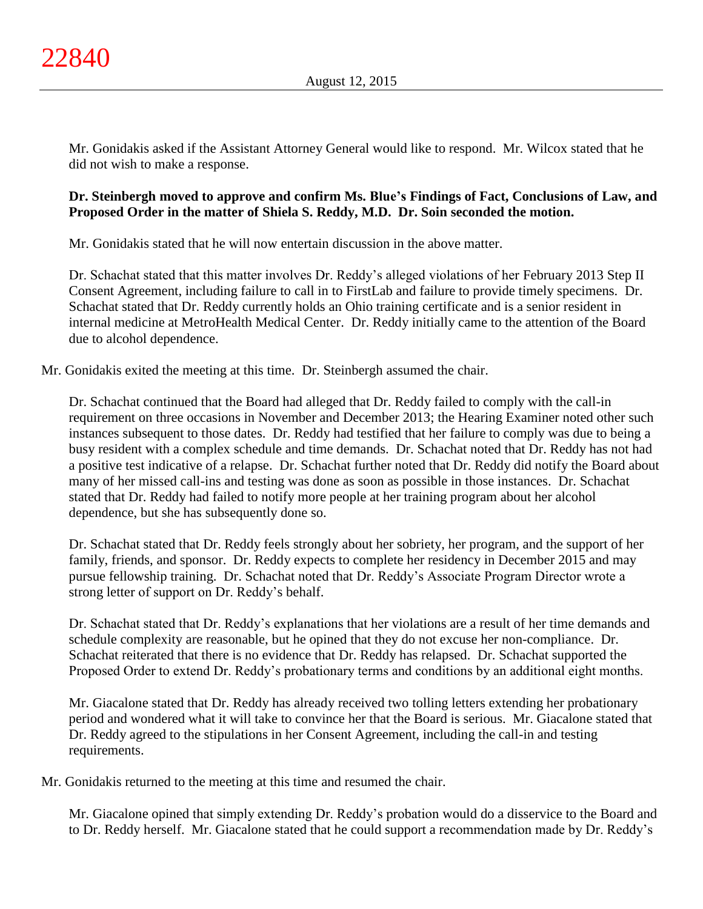Mr. Gonidakis asked if the Assistant Attorney General would like to respond. Mr. Wilcox stated that he did not wish to make a response.

# **Dr. Steinbergh moved to approve and confirm Ms. Blue's Findings of Fact, Conclusions of Law, and Proposed Order in the matter of Shiela S. Reddy, M.D. Dr. Soin seconded the motion.**

Mr. Gonidakis stated that he will now entertain discussion in the above matter.

Dr. Schachat stated that this matter involves Dr. Reddy's alleged violations of her February 2013 Step II Consent Agreement, including failure to call in to FirstLab and failure to provide timely specimens. Dr. Schachat stated that Dr. Reddy currently holds an Ohio training certificate and is a senior resident in internal medicine at MetroHealth Medical Center. Dr. Reddy initially came to the attention of the Board due to alcohol dependence.

Mr. Gonidakis exited the meeting at this time. Dr. Steinbergh assumed the chair.

Dr. Schachat continued that the Board had alleged that Dr. Reddy failed to comply with the call-in requirement on three occasions in November and December 2013; the Hearing Examiner noted other such instances subsequent to those dates. Dr. Reddy had testified that her failure to comply was due to being a busy resident with a complex schedule and time demands. Dr. Schachat noted that Dr. Reddy has not had a positive test indicative of a relapse. Dr. Schachat further noted that Dr. Reddy did notify the Board about many of her missed call-ins and testing was done as soon as possible in those instances. Dr. Schachat stated that Dr. Reddy had failed to notify more people at her training program about her alcohol dependence, but she has subsequently done so.

Dr. Schachat stated that Dr. Reddy feels strongly about her sobriety, her program, and the support of her family, friends, and sponsor. Dr. Reddy expects to complete her residency in December 2015 and may pursue fellowship training. Dr. Schachat noted that Dr. Reddy's Associate Program Director wrote a strong letter of support on Dr. Reddy's behalf.

Dr. Schachat stated that Dr. Reddy's explanations that her violations are a result of her time demands and schedule complexity are reasonable, but he opined that they do not excuse her non-compliance. Dr. Schachat reiterated that there is no evidence that Dr. Reddy has relapsed. Dr. Schachat supported the Proposed Order to extend Dr. Reddy's probationary terms and conditions by an additional eight months.

Mr. Giacalone stated that Dr. Reddy has already received two tolling letters extending her probationary period and wondered what it will take to convince her that the Board is serious. Mr. Giacalone stated that Dr. Reddy agreed to the stipulations in her Consent Agreement, including the call-in and testing requirements.

Mr. Gonidakis returned to the meeting at this time and resumed the chair.

Mr. Giacalone opined that simply extending Dr. Reddy's probation would do a disservice to the Board and to Dr. Reddy herself. Mr. Giacalone stated that he could support a recommendation made by Dr. Reddy's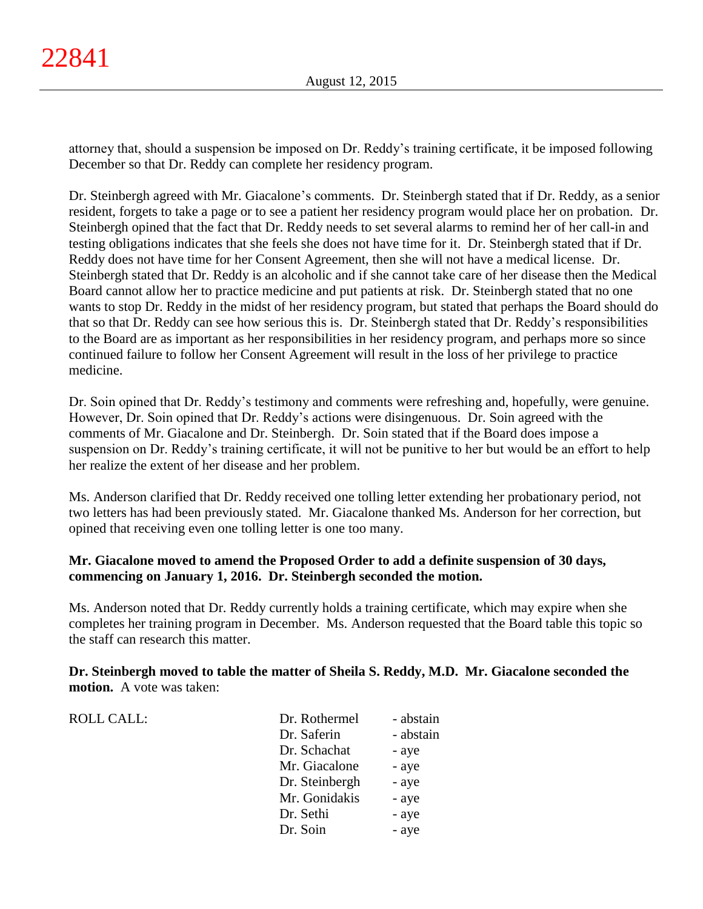ROLL CALL:

attorney that, should a suspension be imposed on Dr. Reddy's training certificate, it be imposed following December so that Dr. Reddy can complete her residency program.

Dr. Steinbergh agreed with Mr. Giacalone's comments. Dr. Steinbergh stated that if Dr. Reddy, as a senior resident, forgets to take a page or to see a patient her residency program would place her on probation. Dr. Steinbergh opined that the fact that Dr. Reddy needs to set several alarms to remind her of her call-in and testing obligations indicates that she feels she does not have time for it. Dr. Steinbergh stated that if Dr. Reddy does not have time for her Consent Agreement, then she will not have a medical license. Dr. Steinbergh stated that Dr. Reddy is an alcoholic and if she cannot take care of her disease then the Medical Board cannot allow her to practice medicine and put patients at risk. Dr. Steinbergh stated that no one wants to stop Dr. Reddy in the midst of her residency program, but stated that perhaps the Board should do that so that Dr. Reddy can see how serious this is. Dr. Steinbergh stated that Dr. Reddy's responsibilities to the Board are as important as her responsibilities in her residency program, and perhaps more so since continued failure to follow her Consent Agreement will result in the loss of her privilege to practice medicine.

Dr. Soin opined that Dr. Reddy's testimony and comments were refreshing and, hopefully, were genuine. However, Dr. Soin opined that Dr. Reddy's actions were disingenuous. Dr. Soin agreed with the comments of Mr. Giacalone and Dr. Steinbergh. Dr. Soin stated that if the Board does impose a suspension on Dr. Reddy's training certificate, it will not be punitive to her but would be an effort to help her realize the extent of her disease and her problem.

Ms. Anderson clarified that Dr. Reddy received one tolling letter extending her probationary period, not two letters has had been previously stated. Mr. Giacalone thanked Ms. Anderson for her correction, but opined that receiving even one tolling letter is one too many.

# **Mr. Giacalone moved to amend the Proposed Order to add a definite suspension of 30 days, commencing on January 1, 2016. Dr. Steinbergh seconded the motion.**

Ms. Anderson noted that Dr. Reddy currently holds a training certificate, which may expire when she completes her training program in December. Ms. Anderson requested that the Board table this topic so the staff can research this matter.

**Dr. Steinbergh moved to table the matter of Sheila S. Reddy, M.D. Mr. Giacalone seconded the motion.** A vote was taken:

| - abstain |
|-----------|
| - abstain |
| - aye     |
| - aye     |
| - aye     |
| - aye     |
| - aye     |
| - aye     |
|           |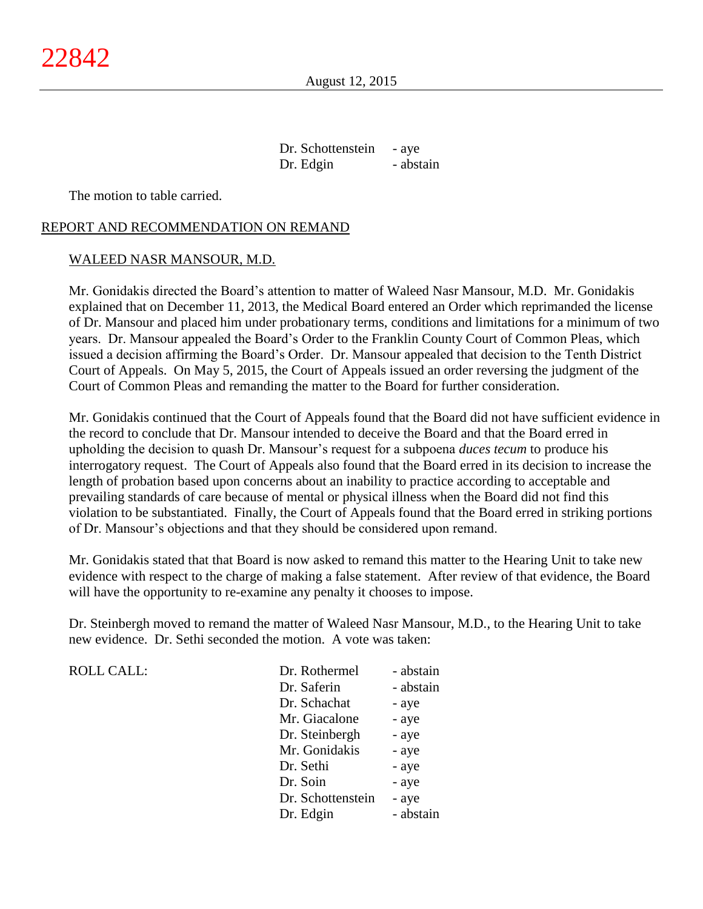Dr. Schottenstein - aye Dr. Edgin - abstain

The motion to table carried.

#### REPORT AND RECOMMENDATION ON REMAND

#### WALEED NASR MANSOUR, M.D.

Mr. Gonidakis directed the Board's attention to matter of Waleed Nasr Mansour, M.D. Mr. Gonidakis explained that on December 11, 2013, the Medical Board entered an Order which reprimanded the license of Dr. Mansour and placed him under probationary terms, conditions and limitations for a minimum of two years. Dr. Mansour appealed the Board's Order to the Franklin County Court of Common Pleas, which issued a decision affirming the Board's Order. Dr. Mansour appealed that decision to the Tenth District Court of Appeals. On May 5, 2015, the Court of Appeals issued an order reversing the judgment of the Court of Common Pleas and remanding the matter to the Board for further consideration.

Mr. Gonidakis continued that the Court of Appeals found that the Board did not have sufficient evidence in the record to conclude that Dr. Mansour intended to deceive the Board and that the Board erred in upholding the decision to quash Dr. Mansour's request for a subpoena *duces tecum* to produce his interrogatory request. The Court of Appeals also found that the Board erred in its decision to increase the length of probation based upon concerns about an inability to practice according to acceptable and prevailing standards of care because of mental or physical illness when the Board did not find this violation to be substantiated. Finally, the Court of Appeals found that the Board erred in striking portions of Dr. Mansour's objections and that they should be considered upon remand.

Mr. Gonidakis stated that that Board is now asked to remand this matter to the Hearing Unit to take new evidence with respect to the charge of making a false statement. After review of that evidence, the Board will have the opportunity to re-examine any penalty it chooses to impose.

Dr. Steinbergh moved to remand the matter of Waleed Nasr Mansour, M.D., to the Hearing Unit to take new evidence. Dr. Sethi seconded the motion. A vote was taken:

| <b>ROLL CALL:</b> | Dr. Rothermel     | - abstain |
|-------------------|-------------------|-----------|
|                   | Dr. Saferin       | - abstain |
|                   | Dr. Schachat      | - aye     |
|                   | Mr. Giacalone     | - aye     |
|                   | Dr. Steinbergh    | - aye     |
|                   | Mr. Gonidakis     | - aye     |
|                   | Dr. Sethi         | - aye     |
|                   | Dr. Soin          | - aye     |
|                   | Dr. Schottenstein | - aye     |
|                   | Dr. Edgin         | - abstain |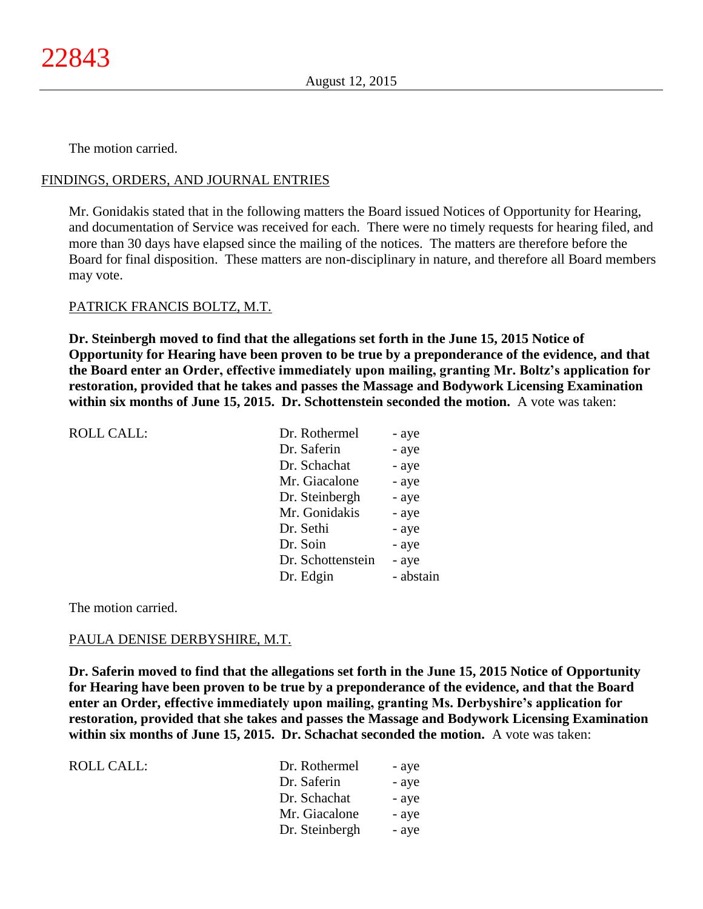## FINDINGS, ORDERS, AND JOURNAL ENTRIES

Mr. Gonidakis stated that in the following matters the Board issued Notices of Opportunity for Hearing, and documentation of Service was received for each. There were no timely requests for hearing filed, and more than 30 days have elapsed since the mailing of the notices. The matters are therefore before the Board for final disposition. These matters are non-disciplinary in nature, and therefore all Board members may vote.

#### PATRICK FRANCIS BOLTZ, M.T.

**Dr. Steinbergh moved to find that the allegations set forth in the June 15, 2015 Notice of Opportunity for Hearing have been proven to be true by a preponderance of the evidence, and that the Board enter an Order, effective immediately upon mailing, granting Mr. Boltz's application for restoration, provided that he takes and passes the Massage and Bodywork Licensing Examination within six months of June 15, 2015. Dr. Schottenstein seconded the motion.** A vote was taken:

| <b>ROLL CALL:</b> | Dr. Rothermel     | - aye     |
|-------------------|-------------------|-----------|
|                   | Dr. Saferin       | - aye     |
|                   | Dr. Schachat      | - aye     |
|                   | Mr. Giacalone     | - aye     |
|                   | Dr. Steinbergh    | - aye     |
|                   | Mr. Gonidakis     | - aye     |
|                   | Dr. Sethi         | - aye     |
|                   | Dr. Soin          | - aye     |
|                   | Dr. Schottenstein | - aye     |
|                   | Dr. Edgin         | - abstain |
|                   |                   |           |

The motion carried.

#### PAULA DENISE DERBYSHIRE, M.T.

**Dr. Saferin moved to find that the allegations set forth in the June 15, 2015 Notice of Opportunity for Hearing have been proven to be true by a preponderance of the evidence, and that the Board enter an Order, effective immediately upon mailing, granting Ms. Derbyshire's application for restoration, provided that she takes and passes the Massage and Bodywork Licensing Examination within six months of June 15, 2015. Dr. Schachat seconded the motion.** A vote was taken:

| ROLL CALL: | Dr. Rothermel  | - aye |
|------------|----------------|-------|
|            | Dr. Saferin    | - aye |
|            | Dr. Schachat   | - aye |
|            | Mr. Giacalone  | - aye |
|            | Dr. Steinbergh | - aye |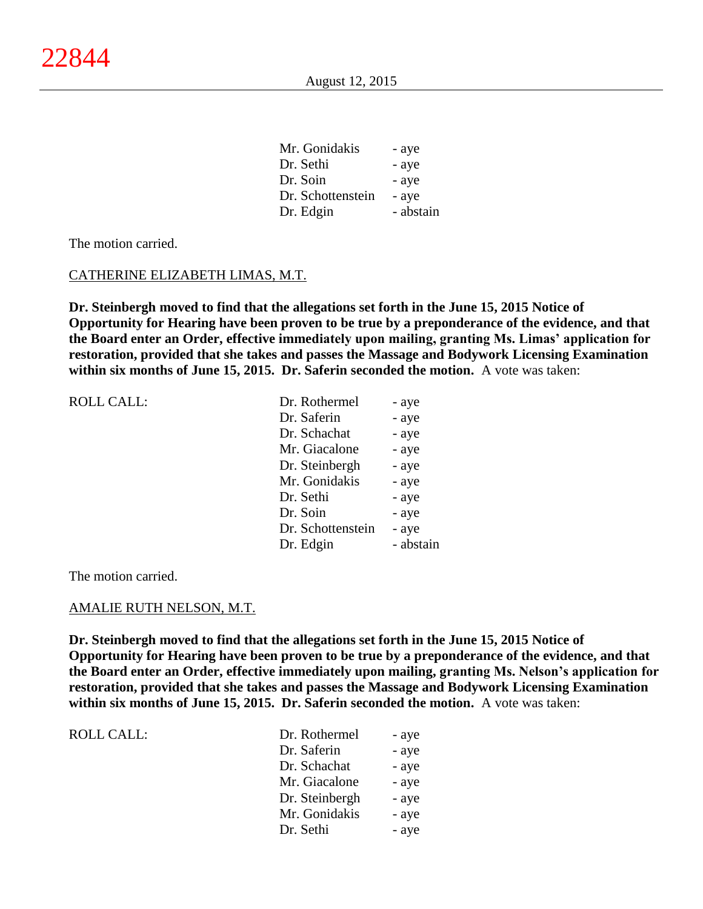| Mr. Gonidakis     | - aye     |
|-------------------|-----------|
| Dr. Sethi         | - aye     |
| Dr. Soin          | - aye     |
| Dr. Schottenstein | - aye     |
| Dr. Edgin         | - abstain |

#### CATHERINE ELIZABETH LIMAS, M.T.

**Dr. Steinbergh moved to find that the allegations set forth in the June 15, 2015 Notice of Opportunity for Hearing have been proven to be true by a preponderance of the evidence, and that the Board enter an Order, effective immediately upon mailing, granting Ms. Limas' application for restoration, provided that she takes and passes the Massage and Bodywork Licensing Examination within six months of June 15, 2015. Dr. Saferin seconded the motion.** A vote was taken:

| <b>ROLL CALL:</b> | Dr. Rothermel     | - aye     |
|-------------------|-------------------|-----------|
|                   | Dr. Saferin       | - aye     |
|                   | Dr. Schachat      | - aye     |
|                   | Mr. Giacalone     | - aye     |
|                   | Dr. Steinbergh    | - aye     |
|                   | Mr. Gonidakis     | - aye     |
|                   | Dr. Sethi         | - aye     |
|                   | Dr. Soin          | - aye     |
|                   | Dr. Schottenstein | - aye     |
|                   | Dr. Edgin         | - abstain |
|                   |                   |           |

The motion carried.

ROLL CALL:

#### AMALIE RUTH NELSON, M.T.

**Dr. Steinbergh moved to find that the allegations set forth in the June 15, 2015 Notice of Opportunity for Hearing have been proven to be true by a preponderance of the evidence, and that the Board enter an Order, effective immediately upon mailing, granting Ms. Nelson's application for restoration, provided that she takes and passes the Massage and Bodywork Licensing Examination within six months of June 15, 2015. Dr. Saferin seconded the motion.** A vote was taken:

| Dr. Rothermel  | - aye |
|----------------|-------|
| Dr. Saferin    | - aye |
| Dr. Schachat   | - aye |
| Mr. Giacalone  | - aye |
| Dr. Steinbergh | - aye |
| Mr. Gonidakis  | - aye |
| Dr. Sethi      | - aye |
|                |       |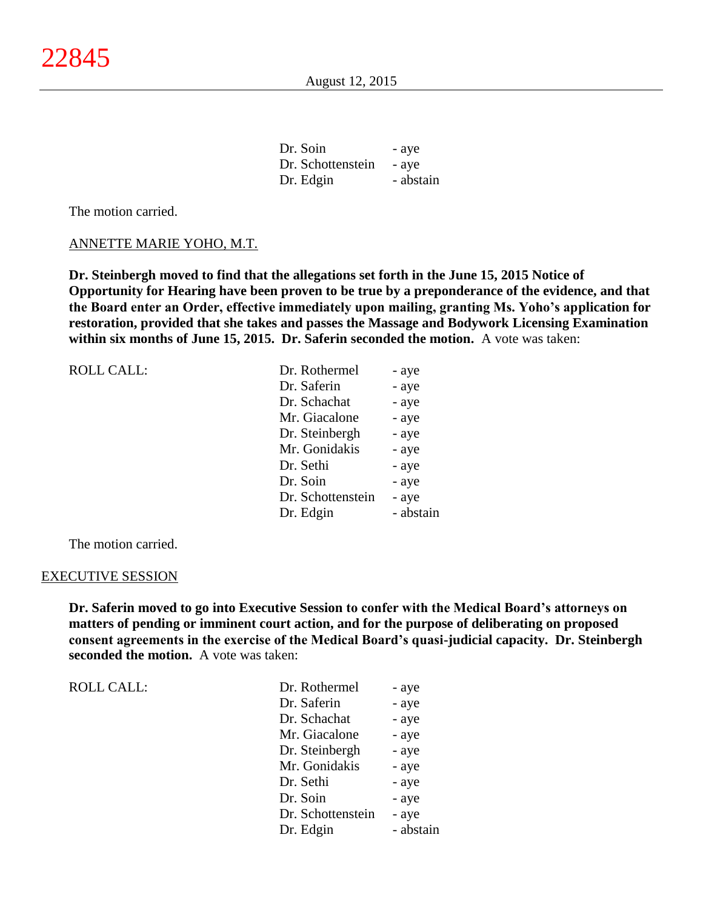| Dr. Soin          | - aye     |
|-------------------|-----------|
| Dr. Schottenstein | - aye     |
| Dr. Edgin         | - abstain |

#### ANNETTE MARIE YOHO, M.T.

**Dr. Steinbergh moved to find that the allegations set forth in the June 15, 2015 Notice of Opportunity for Hearing have been proven to be true by a preponderance of the evidence, and that the Board enter an Order, effective immediately upon mailing, granting Ms. Yoho's application for restoration, provided that she takes and passes the Massage and Bodywork Licensing Examination within six months of June 15, 2015. Dr. Saferin seconded the motion.** A vote was taken:

| <b>ROLL CALL:</b> | Dr. Rothermel     | - aye     |
|-------------------|-------------------|-----------|
|                   | Dr. Saferin       | - aye     |
|                   | Dr. Schachat      | - aye     |
|                   | Mr. Giacalone     | - aye     |
|                   | Dr. Steinbergh    | - aye     |
|                   | Mr. Gonidakis     | - aye     |
|                   | Dr. Sethi         | - aye     |
|                   | Dr. Soin          | - aye     |
|                   | Dr. Schottenstein | - aye     |
|                   | Dr. Edgin         | - abstain |

The motion carried.

#### EXECUTIVE SESSION

ROLL CALL:

**Dr. Saferin moved to go into Executive Session to confer with the Medical Board's attorneys on matters of pending or imminent court action, and for the purpose of deliberating on proposed consent agreements in the exercise of the Medical Board's quasi-judicial capacity. Dr. Steinbergh seconded the motion.** A vote was taken:

| Dr. Rothermel     | - aye     |
|-------------------|-----------|
| Dr. Saferin       | - aye     |
| Dr. Schachat      | - aye     |
| Mr. Giacalone     | - aye     |
| Dr. Steinbergh    | - aye     |
| Mr. Gonidakis     | - aye     |
| Dr. Sethi         | - aye     |
| Dr. Soin          | - aye     |
| Dr. Schottenstein | - aye     |
| Dr. Edgin         | - abstain |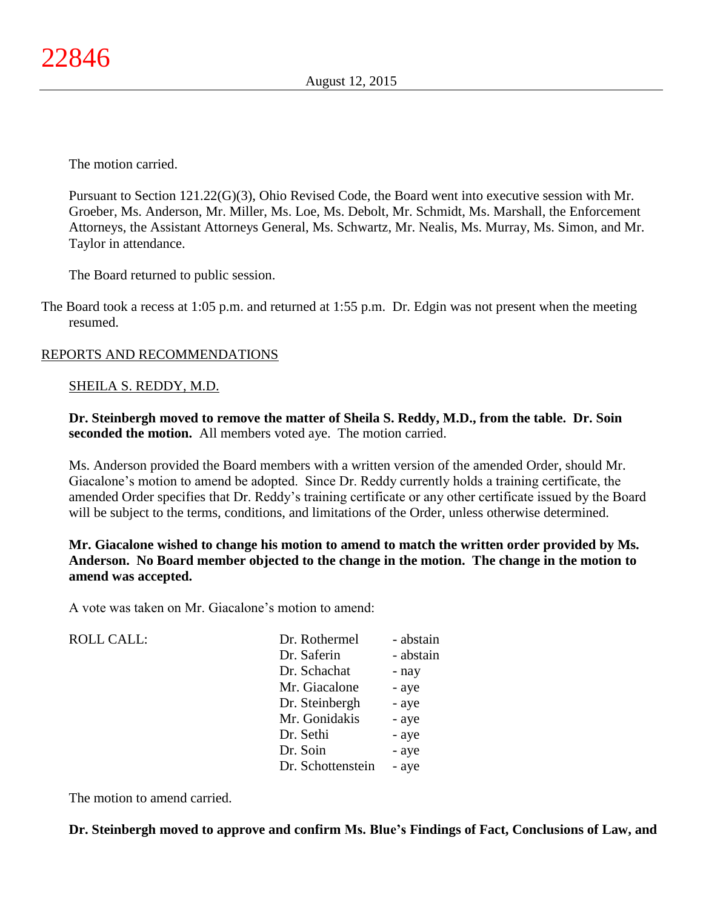Pursuant to Section 121.22(G)(3), Ohio Revised Code, the Board went into executive session with Mr. Groeber, Ms. Anderson, Mr. Miller, Ms. Loe, Ms. Debolt, Mr. Schmidt, Ms. Marshall, the Enforcement Attorneys, the Assistant Attorneys General, Ms. Schwartz, Mr. Nealis, Ms. Murray, Ms. Simon, and Mr. Taylor in attendance.

The Board returned to public session.

The Board took a recess at 1:05 p.m. and returned at 1:55 p.m. Dr. Edgin was not present when the meeting resumed.

## REPORTS AND RECOMMENDATIONS

#### SHEILA S. REDDY, M.D.

**Dr. Steinbergh moved to remove the matter of Sheila S. Reddy, M.D., from the table. Dr. Soin seconded the motion.** All members voted aye. The motion carried.

Ms. Anderson provided the Board members with a written version of the amended Order, should Mr. Giacalone's motion to amend be adopted. Since Dr. Reddy currently holds a training certificate, the amended Order specifies that Dr. Reddy's training certificate or any other certificate issued by the Board will be subject to the terms, conditions, and limitations of the Order, unless otherwise determined.

**Mr. Giacalone wished to change his motion to amend to match the written order provided by Ms. Anderson. No Board member objected to the change in the motion. The change in the motion to amend was accepted.**

A vote was taken on Mr. Giacalone's motion to amend:

ROLL CALL:

| Dr. Rothermel     | - abstain |
|-------------------|-----------|
| Dr. Saferin       | - abstain |
| Dr. Schachat      | - nay     |
| Mr. Giacalone     | - aye     |
| Dr. Steinbergh    | - aye     |
| Mr. Gonidakis     | - aye     |
| Dr. Sethi         | - aye     |
| Dr. Soin          | - aye     |
| Dr. Schottenstein | - aye     |

The motion to amend carried.

## **Dr. Steinbergh moved to approve and confirm Ms. Blue's Findings of Fact, Conclusions of Law, and**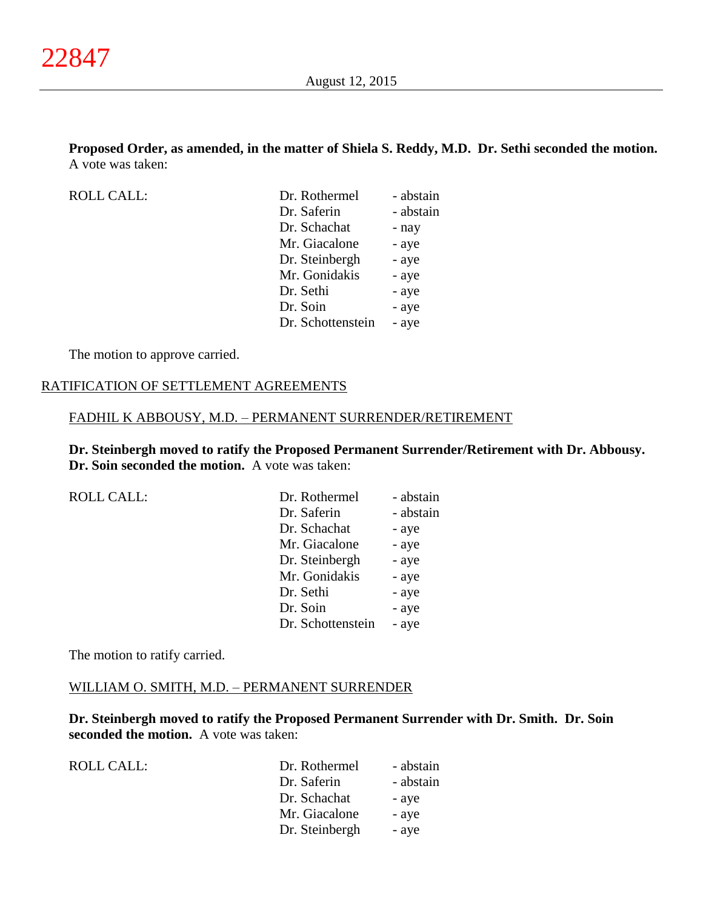## **Proposed Order, as amended, in the matter of Shiela S. Reddy, M.D. Dr. Sethi seconded the motion.** A vote was taken:

ROLL CALL:

| Dr. Rothermel     | - abstain |
|-------------------|-----------|
| Dr. Saferin       | - abstain |
| Dr. Schachat      | - nay     |
| Mr. Giacalone     | - aye     |
| Dr. Steinbergh    | - aye     |
| Mr. Gonidakis     | - aye     |
| Dr. Sethi         | - aye     |
| Dr. Soin          | - aye     |
| Dr. Schottenstein | - aye     |
|                   |           |

The motion to approve carried.

## RATIFICATION OF SETTLEMENT AGREEMENTS

#### FADHIL K ABBOUSY, M.D. – PERMANENT SURRENDER/RETIREMENT

**Dr. Steinbergh moved to ratify the Proposed Permanent Surrender/Retirement with Dr. Abbousy. Dr. Soin seconded the motion.** A vote was taken:

| <b>ROLL CALL:</b> | Dr. Rothermel     | - abstain |
|-------------------|-------------------|-----------|
|                   | Dr. Saferin       | - abstain |
|                   | Dr. Schachat      | - aye     |
|                   | Mr. Giacalone     | - aye     |
|                   | Dr. Steinbergh    | - aye     |
|                   | Mr. Gonidakis     | - aye     |
|                   | Dr. Sethi         | - aye     |
|                   | Dr. Soin          | - aye     |
|                   | Dr. Schottenstein | - aye     |
|                   |                   |           |

The motion to ratify carried.

ROLL CALL:

#### WILLIAM O. SMITH, M.D. – PERMANENT SURRENDER

**Dr. Steinbergh moved to ratify the Proposed Permanent Surrender with Dr. Smith. Dr. Soin seconded the motion.** A vote was taken:

| Dr. Rothermel  | - abstain |
|----------------|-----------|
| Dr. Saferin    | - abstain |
| Dr. Schachat   | - aye     |
| Mr. Giacalone  | - aye     |
| Dr. Steinbergh | - aye     |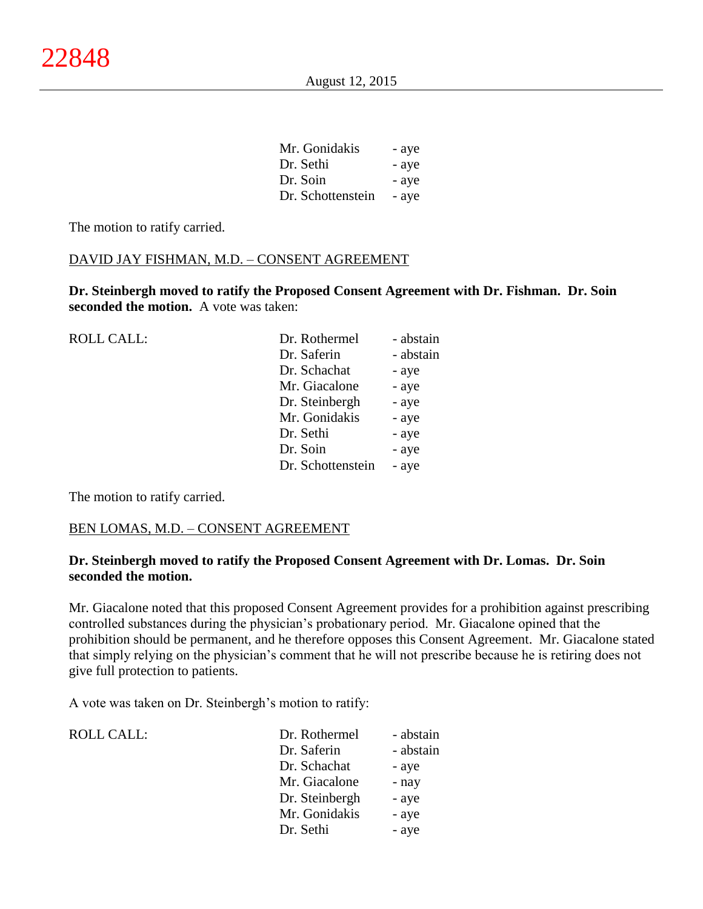| Mr. Gonidakis     | - aye |
|-------------------|-------|
| Dr. Sethi         | - aye |
| Dr. Soin          | - aye |
| Dr. Schottenstein | - aye |

 $\overline{M}$   $\overline{G}$   $\overline{G}$ 

The motion to ratify carried.

## DAVID JAY FISHMAN, M.D. – CONSENT AGREEMENT

**Dr. Steinbergh moved to ratify the Proposed Consent Agreement with Dr. Fishman. Dr. Soin seconded the motion.** A vote was taken:

| <b>ROLL CALL:</b> | Dr. Rothermel     | - abstain |
|-------------------|-------------------|-----------|
|                   | Dr. Saferin       | - abstain |
|                   | Dr. Schachat      | - aye     |
|                   | Mr. Giacalone     | - aye     |
|                   | Dr. Steinbergh    | - aye     |
|                   | Mr. Gonidakis     | - aye     |
|                   | Dr. Sethi         | - aye     |
|                   | Dr. Soin          | - aye     |
|                   | Dr. Schottenstein | - aye     |
|                   |                   |           |

The motion to ratify carried.

## BEN LOMAS, M.D. – CONSENT AGREEMENT

## **Dr. Steinbergh moved to ratify the Proposed Consent Agreement with Dr. Lomas. Dr. Soin seconded the motion.**

Mr. Giacalone noted that this proposed Consent Agreement provides for a prohibition against prescribing controlled substances during the physician's probationary period. Mr. Giacalone opined that the prohibition should be permanent, and he therefore opposes this Consent Agreement. Mr. Giacalone stated that simply relying on the physician's comment that he will not prescribe because he is retiring does not give full protection to patients.

A vote was taken on Dr. Steinbergh's motion to ratify:

| ROLL CALL: | Dr. Rothermel  | - abstain |
|------------|----------------|-----------|
|            | Dr. Saferin    | - abstain |
|            | Dr. Schachat   | - aye     |
|            | Mr. Giacalone  | - nay     |
|            | Dr. Steinbergh | - aye     |
|            | Mr. Gonidakis  | - aye     |
|            | Dr. Sethi      | - aye     |
|            |                |           |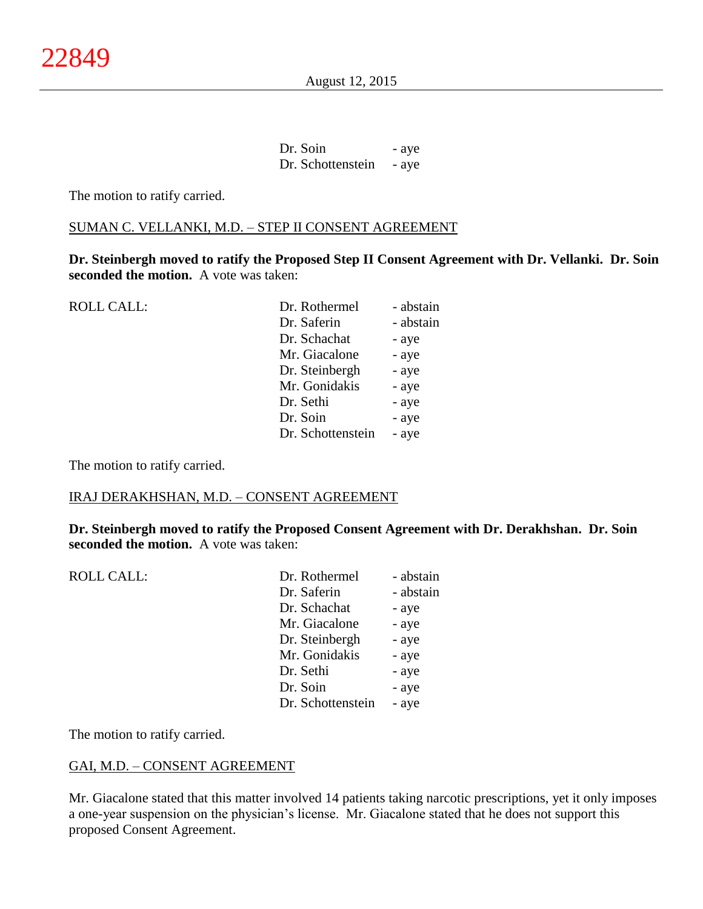August 12, 2015

Dr. Soin - aye Dr. Schottenstein - aye

The motion to ratify carried.

#### SUMAN C. VELLANKI, M.D. – STEP II CONSENT AGREEMENT

**Dr. Steinbergh moved to ratify the Proposed Step II Consent Agreement with Dr. Vellanki. Dr. Soin seconded the motion.** A vote was taken:

| <b>ROLL CALL:</b> | Dr. Rothermel     | - abstain |
|-------------------|-------------------|-----------|
|                   | Dr. Saferin       | - abstain |
|                   | Dr. Schachat      | - aye     |
|                   | Mr. Giacalone     | - aye     |
|                   | Dr. Steinbergh    | - aye     |
|                   | Mr. Gonidakis     | - aye     |
|                   | Dr. Sethi         | - aye     |
|                   | Dr. Soin          | - aye     |
|                   | Dr. Schottenstein | - aye     |
|                   |                   |           |

The motion to ratify carried.

## IRAJ DERAKHSHAN, M.D. – CONSENT AGREEMENT

**Dr. Steinbergh moved to ratify the Proposed Consent Agreement with Dr. Derakhshan. Dr. Soin seconded the motion.** A vote was taken:

| <b>ROLL CALL:</b> | Dr. Rothermel     | - abstain |
|-------------------|-------------------|-----------|
|                   | Dr. Saferin       | - abstain |
|                   | Dr. Schachat      | - aye     |
|                   | Mr. Giacalone     | - aye     |
|                   | Dr. Steinbergh    | - aye     |
|                   | Mr. Gonidakis     | - aye     |
|                   | Dr. Sethi         | - aye     |
|                   | Dr. Soin          | - aye     |
|                   | Dr. Schottenstein | - aye     |
|                   |                   |           |

The motion to ratify carried.

## GAI, M.D. – CONSENT AGREEMENT

Mr. Giacalone stated that this matter involved 14 patients taking narcotic prescriptions, yet it only imposes a one-year suspension on the physician's license. Mr. Giacalone stated that he does not support this proposed Consent Agreement.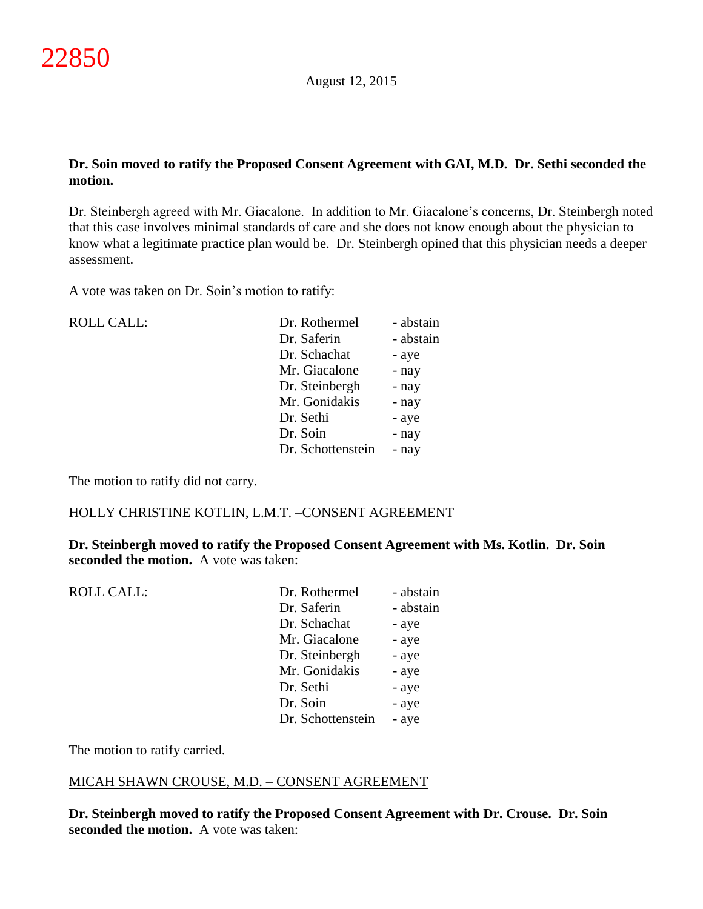## **Dr. Soin moved to ratify the Proposed Consent Agreement with GAI, M.D. Dr. Sethi seconded the motion.**

Dr. Steinbergh agreed with Mr. Giacalone. In addition to Mr. Giacalone's concerns, Dr. Steinbergh noted that this case involves minimal standards of care and she does not know enough about the physician to know what a legitimate practice plan would be. Dr. Steinbergh opined that this physician needs a deeper assessment.

A vote was taken on Dr. Soin's motion to ratify:

| <b>ROLL CALL:</b> | Dr. Rothermel     | - abstain |
|-------------------|-------------------|-----------|
|                   | Dr. Saferin       | - abstain |
|                   | Dr. Schachat      | - aye     |
|                   | Mr. Giacalone     | - nay     |
|                   | Dr. Steinbergh    | - nay     |
|                   | Mr. Gonidakis     | - nay     |
|                   | Dr. Sethi         | - aye     |
|                   | Dr. Soin          | - nay     |
|                   | Dr. Schottenstein | - nay     |

The motion to ratify did not carry.

## HOLLY CHRISTINE KOTLIN, L.M.T. –CONSENT AGREEMENT

**Dr. Steinbergh moved to ratify the Proposed Consent Agreement with Ms. Kotlin. Dr. Soin seconded the motion.** A vote was taken:

| <b>ROLL CALL:</b> | Dr. Rothermel     | - abstain |
|-------------------|-------------------|-----------|
|                   | Dr. Saferin       | - abstain |
|                   | Dr. Schachat      | - aye     |
|                   | Mr. Giacalone     | - aye     |
|                   | Dr. Steinbergh    | - aye     |
|                   | Mr. Gonidakis     | - aye     |
|                   | Dr. Sethi         | - aye     |
|                   | Dr. Soin          | - aye     |
|                   | Dr. Schottenstein | - aye     |
|                   |                   |           |

The motion to ratify carried.

## MICAH SHAWN CROUSE, M.D. – CONSENT AGREEMENT

**Dr. Steinbergh moved to ratify the Proposed Consent Agreement with Dr. Crouse. Dr. Soin seconded the motion.** A vote was taken: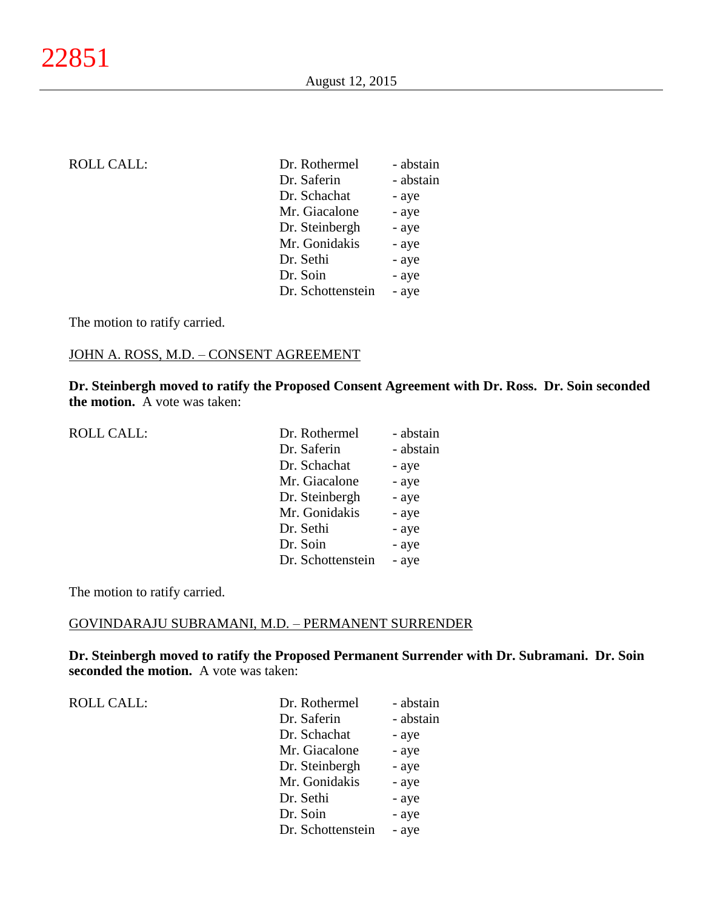| <b>ROLL CALL:</b> | Dr. Rothermel     | - abstain |
|-------------------|-------------------|-----------|
|                   | Dr. Saferin       | - abstain |
|                   | Dr. Schachat      | - aye     |
|                   | Mr. Giacalone     | - aye     |
|                   | Dr. Steinbergh    | - aye     |
|                   | Mr. Gonidakis     | - aye     |
|                   | Dr. Sethi         | - aye     |
|                   | Dr. Soin          | - aye     |
|                   | Dr. Schottenstein | - aye     |
|                   |                   |           |

The motion to ratify carried.

## JOHN A. ROSS, M.D. – CONSENT AGREEMENT

**Dr. Steinbergh moved to ratify the Proposed Consent Agreement with Dr. Ross. Dr. Soin seconded the motion.** A vote was taken:

> abstain aye aye aye aye aye

| <b>ROLL CALL:</b> | Dr. Rothermel  | - abstain |
|-------------------|----------------|-----------|
|                   | Dr. Saferin    | - abstain |
|                   | Dr. Schachat   | - aye     |
|                   | Mr. Giacalone  | - aye     |
|                   | Dr. Steinbergh | - aye     |
|                   | Mr. Gonidakis  | - aye     |
|                   | Dr. Sethi      | - aye     |
|                   | Dr. Soin       | - aye     |

The motion to ratify carried.

## GOVINDARAJU SUBRAMANI, M.D. – PERMANENT SURRENDER

**Dr. Steinbergh moved to ratify the Proposed Permanent Surrender with Dr. Subramani. Dr. Soin seconded the motion.** A vote was taken:

Dr. Schottenstein - aye

| <b>ROLL CALL:</b> | Dr. Rothermel     | - abstain |
|-------------------|-------------------|-----------|
|                   | Dr. Saferin       | - abstain |
|                   | Dr. Schachat      | - aye     |
|                   | Mr. Giacalone     | - aye     |
|                   | Dr. Steinbergh    | - aye     |
|                   | Mr. Gonidakis     | - aye     |
|                   | Dr. Sethi         | - aye     |
|                   | Dr. Soin          | - aye     |
|                   | Dr. Schottenstein | - aye     |
|                   |                   |           |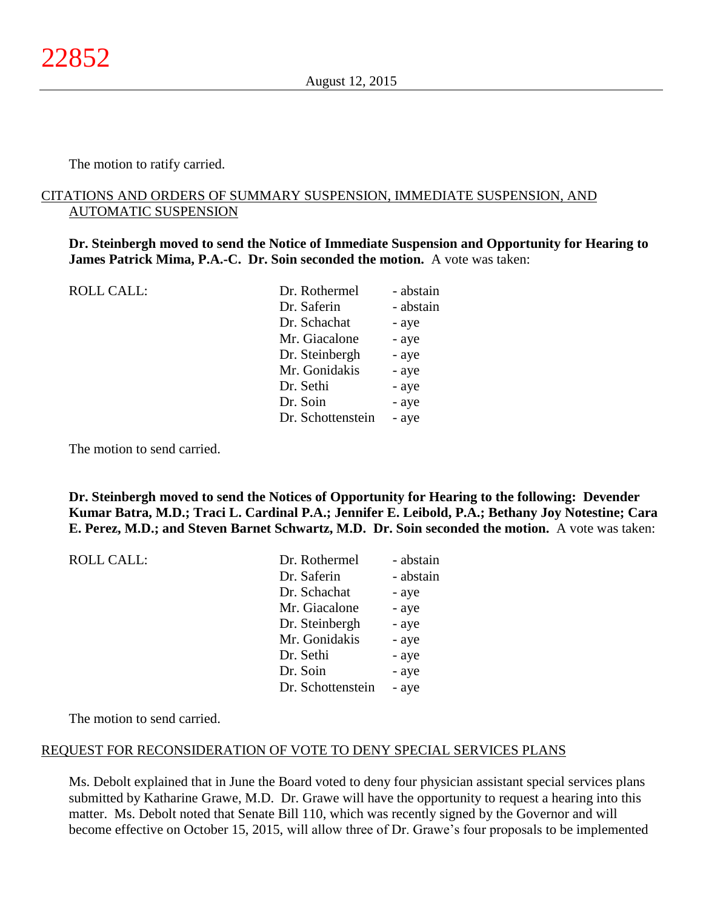The motion to ratify carried.

## CITATIONS AND ORDERS OF SUMMARY SUSPENSION, IMMEDIATE SUSPENSION, AND AUTOMATIC SUSPENSION

**Dr. Steinbergh moved to send the Notice of Immediate Suspension and Opportunity for Hearing to James Patrick Mima, P.A.-C. Dr. Soin seconded the motion.** A vote was taken:

ROLL CALL: Dr. Rothermel - abstain

| LI. KUULULIILU    | - аныаш   |
|-------------------|-----------|
| Dr. Saferin       | - abstain |
| Dr. Schachat      | - aye     |
| Mr. Giacalone     | - aye     |
| Dr. Steinbergh    | - aye     |
| Mr. Gonidakis     | - aye     |
| Dr. Sethi         | - aye     |
| Dr. Soin          | - aye     |
| Dr. Schottenstein | - aye     |
|                   |           |

The motion to send carried.

**Dr. Steinbergh moved to send the Notices of Opportunity for Hearing to the following: Devender Kumar Batra, M.D.; Traci L. Cardinal P.A.; Jennifer E. Leibold, P.A.; Bethany Joy Notestine; Cara E. Perez, M.D.; and Steven Barnet Schwartz, M.D. Dr. Soin seconded the motion.** A vote was taken:

| <b>ROLL CALL:</b> | Dr. Rothermel     | - abstain |
|-------------------|-------------------|-----------|
|                   | Dr. Saferin       | - abstain |
|                   | Dr. Schachat      | - aye     |
|                   | Mr. Giacalone     | - aye     |
|                   | Dr. Steinbergh    | - aye     |
|                   | Mr. Gonidakis     | - aye     |
|                   | Dr. Sethi         | - aye     |
|                   | Dr. Soin          | - aye     |
|                   | Dr. Schottenstein | - aye     |
|                   |                   |           |

The motion to send carried.

#### REQUEST FOR RECONSIDERATION OF VOTE TO DENY SPECIAL SERVICES PLANS

Ms. Debolt explained that in June the Board voted to deny four physician assistant special services plans submitted by Katharine Grawe, M.D. Dr. Grawe will have the opportunity to request a hearing into this matter. Ms. Debolt noted that Senate Bill 110, which was recently signed by the Governor and will become effective on October 15, 2015, will allow three of Dr. Grawe's four proposals to be implemented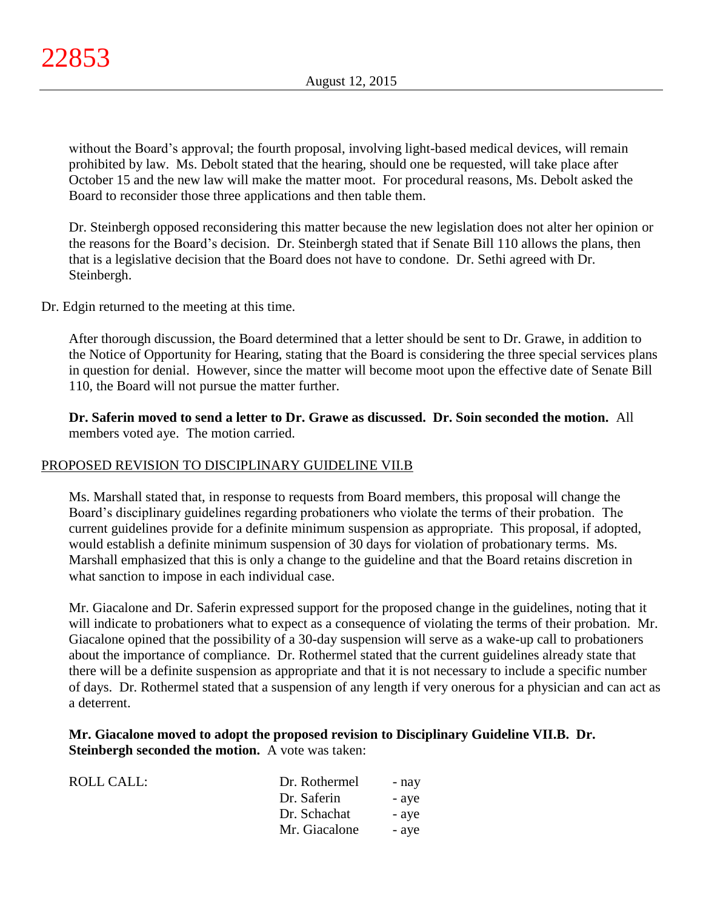without the Board's approval; the fourth proposal, involving light-based medical devices, will remain prohibited by law. Ms. Debolt stated that the hearing, should one be requested, will take place after October 15 and the new law will make the matter moot. For procedural reasons, Ms. Debolt asked the Board to reconsider those three applications and then table them.

Dr. Steinbergh opposed reconsidering this matter because the new legislation does not alter her opinion or the reasons for the Board's decision. Dr. Steinbergh stated that if Senate Bill 110 allows the plans, then that is a legislative decision that the Board does not have to condone. Dr. Sethi agreed with Dr. Steinbergh.

Dr. Edgin returned to the meeting at this time.

After thorough discussion, the Board determined that a letter should be sent to Dr. Grawe, in addition to the Notice of Opportunity for Hearing, stating that the Board is considering the three special services plans in question for denial. However, since the matter will become moot upon the effective date of Senate Bill 110, the Board will not pursue the matter further.

**Dr. Saferin moved to send a letter to Dr. Grawe as discussed. Dr. Soin seconded the motion.** All members voted aye. The motion carried.

# PROPOSED REVISION TO DISCIPLINARY GUIDELINE VII.B

Ms. Marshall stated that, in response to requests from Board members, this proposal will change the Board's disciplinary guidelines regarding probationers who violate the terms of their probation. The current guidelines provide for a definite minimum suspension as appropriate. This proposal, if adopted, would establish a definite minimum suspension of 30 days for violation of probationary terms. Ms. Marshall emphasized that this is only a change to the guideline and that the Board retains discretion in what sanction to impose in each individual case.

Mr. Giacalone and Dr. Saferin expressed support for the proposed change in the guidelines, noting that it will indicate to probationers what to expect as a consequence of violating the terms of their probation. Mr. Giacalone opined that the possibility of a 30-day suspension will serve as a wake-up call to probationers about the importance of compliance. Dr. Rothermel stated that the current guidelines already state that there will be a definite suspension as appropriate and that it is not necessary to include a specific number of days. Dr. Rothermel stated that a suspension of any length if very onerous for a physician and can act as a deterrent.

## **Mr. Giacalone moved to adopt the proposed revision to Disciplinary Guideline VII.B. Dr. Steinbergh seconded the motion.** A vote was taken:

| Dr. Rothermel | - nay |
|---------------|-------|
| Dr. Saferin   | - ave |
| Dr. Schachat  | - ave |
| Mr. Giacalone | - ave |
|               |       |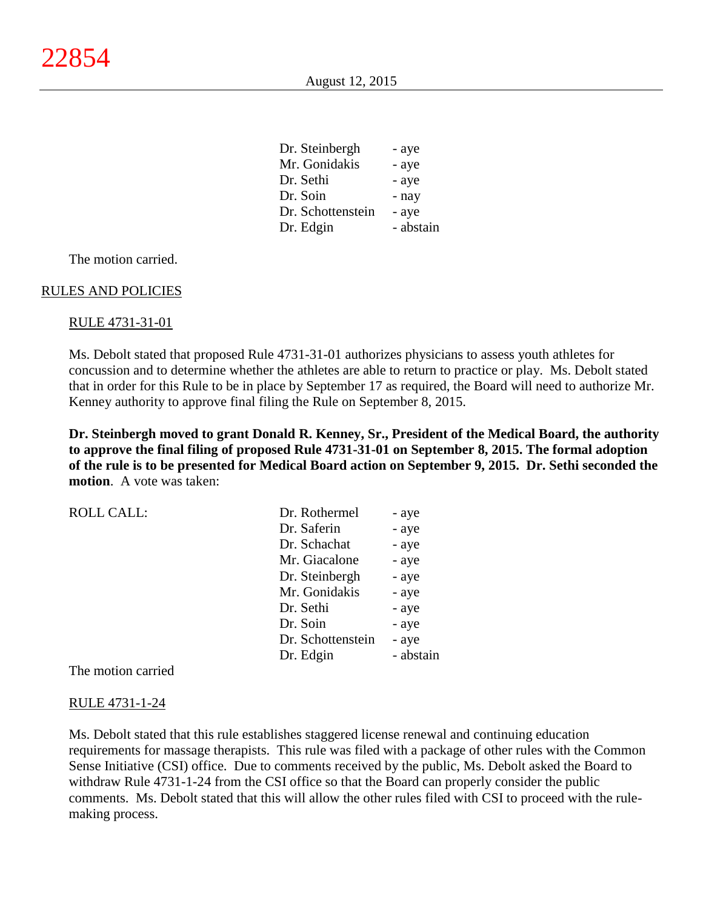| Dr. Steinbergh    | - aye     |
|-------------------|-----------|
| Mr. Gonidakis     | - aye     |
| Dr. Sethi         | - aye     |
| Dr. Soin          | - nay     |
| Dr. Schottenstein | - aye     |
| Dr. Edgin         | - abstain |

#### RULES AND POLICIES

#### RULE 4731-31-01

Ms. Debolt stated that proposed Rule 4731-31-01 authorizes physicians to assess youth athletes for concussion and to determine whether the athletes are able to return to practice or play. Ms. Debolt stated that in order for this Rule to be in place by September 17 as required, the Board will need to authorize Mr. Kenney authority to approve final filing the Rule on September 8, 2015.

**Dr. Steinbergh moved to grant Donald R. Kenney, Sr., President of the Medical Board, the authority to approve the final filing of proposed Rule 4731-31-01 on September 8, 2015. The formal adoption of the rule is to be presented for Medical Board action on September 9, 2015. Dr. Sethi seconded the motion**. A vote was taken:

| <b>ROLL CALL:</b> | Dr. Rothermel     | - aye     |
|-------------------|-------------------|-----------|
|                   | Dr. Saferin       | - aye     |
|                   | Dr. Schachat      | - aye     |
|                   | Mr. Giacalone     | - aye     |
|                   | Dr. Steinbergh    | - aye     |
|                   | Mr. Gonidakis     | - aye     |
|                   | Dr. Sethi         | - aye     |
|                   | Dr. Soin          | - aye     |
|                   | Dr. Schottenstein | - aye     |
|                   | Dr. Edgin         | - abstain |

The motion carried

#### RULE 4731-1-24

Ms. Debolt stated that this rule establishes staggered license renewal and continuing education requirements for massage therapists. This rule was filed with a package of other rules with the Common Sense Initiative (CSI) office. Due to comments received by the public, Ms. Debolt asked the Board to withdraw Rule 4731-1-24 from the CSI office so that the Board can properly consider the public comments. Ms. Debolt stated that this will allow the other rules filed with CSI to proceed with the rulemaking process.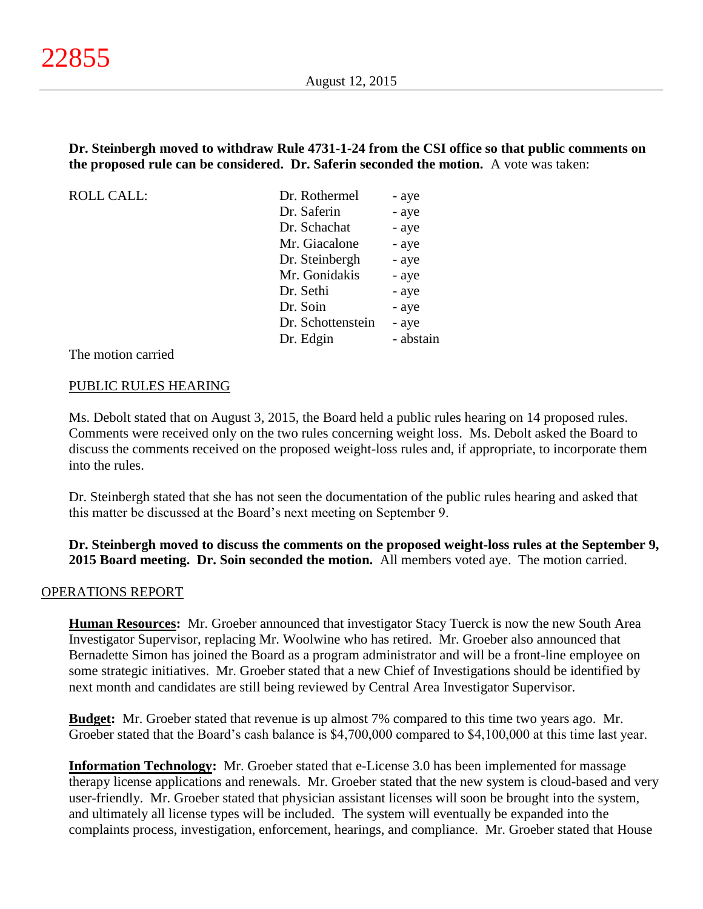## **Dr. Steinbergh moved to withdraw Rule 4731-1-24 from the CSI office so that public comments on the proposed rule can be considered. Dr. Saferin seconded the motion.** A vote was taken:

ROLL CALL:

| Dr. Rothermel     | - aye     |
|-------------------|-----------|
| Dr. Saferin       | - aye     |
| Dr. Schachat      | - aye     |
| Mr. Giacalone     | - aye     |
| Dr. Steinbergh    | - aye     |
| Mr. Gonidakis     | - aye     |
| Dr. Sethi         | - aye     |
| Dr. Soin          | - aye     |
| Dr. Schottenstein | - aye     |
| Dr. Edgin         | - abstain |
|                   |           |

The motion carried

## PUBLIC RULES HEARING

Ms. Debolt stated that on August 3, 2015, the Board held a public rules hearing on 14 proposed rules. Comments were received only on the two rules concerning weight loss. Ms. Debolt asked the Board to discuss the comments received on the proposed weight-loss rules and, if appropriate, to incorporate them into the rules.

Dr. Steinbergh stated that she has not seen the documentation of the public rules hearing and asked that this matter be discussed at the Board's next meeting on September 9.

**Dr. Steinbergh moved to discuss the comments on the proposed weight-loss rules at the September 9, 2015 Board meeting. Dr. Soin seconded the motion.** All members voted aye. The motion carried.

## OPERATIONS REPORT

**Human Resources:** Mr. Groeber announced that investigator Stacy Tuerck is now the new South Area Investigator Supervisor, replacing Mr. Woolwine who has retired. Mr. Groeber also announced that Bernadette Simon has joined the Board as a program administrator and will be a front-line employee on some strategic initiatives. Mr. Groeber stated that a new Chief of Investigations should be identified by next month and candidates are still being reviewed by Central Area Investigator Supervisor.

**Budget:** Mr. Groeber stated that revenue is up almost 7% compared to this time two years ago. Mr. Groeber stated that the Board's cash balance is \$4,700,000 compared to \$4,100,000 at this time last year.

**Information Technology:** Mr. Groeber stated that e-License 3.0 has been implemented for massage therapy license applications and renewals. Mr. Groeber stated that the new system is cloud-based and very user-friendly. Mr. Groeber stated that physician assistant licenses will soon be brought into the system, and ultimately all license types will be included. The system will eventually be expanded into the complaints process, investigation, enforcement, hearings, and compliance. Mr. Groeber stated that House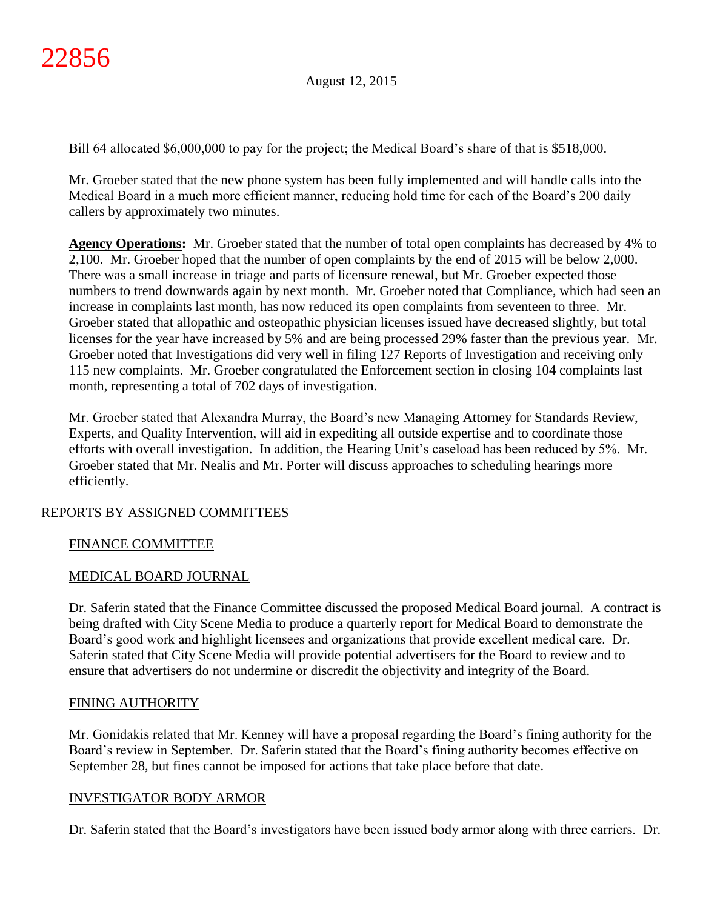Bill 64 allocated \$6,000,000 to pay for the project; the Medical Board's share of that is \$518,000.

Mr. Groeber stated that the new phone system has been fully implemented and will handle calls into the Medical Board in a much more efficient manner, reducing hold time for each of the Board's 200 daily callers by approximately two minutes.

**Agency Operations:** Mr. Groeber stated that the number of total open complaints has decreased by 4% to 2,100. Mr. Groeber hoped that the number of open complaints by the end of 2015 will be below 2,000. There was a small increase in triage and parts of licensure renewal, but Mr. Groeber expected those numbers to trend downwards again by next month. Mr. Groeber noted that Compliance, which had seen an increase in complaints last month, has now reduced its open complaints from seventeen to three. Mr. Groeber stated that allopathic and osteopathic physician licenses issued have decreased slightly, but total licenses for the year have increased by 5% and are being processed 29% faster than the previous year. Mr. Groeber noted that Investigations did very well in filing 127 Reports of Investigation and receiving only 115 new complaints. Mr. Groeber congratulated the Enforcement section in closing 104 complaints last month, representing a total of 702 days of investigation.

Mr. Groeber stated that Alexandra Murray, the Board's new Managing Attorney for Standards Review, Experts, and Quality Intervention, will aid in expediting all outside expertise and to coordinate those efforts with overall investigation. In addition, the Hearing Unit's caseload has been reduced by 5%. Mr. Groeber stated that Mr. Nealis and Mr. Porter will discuss approaches to scheduling hearings more efficiently.

# REPORTS BY ASSIGNED COMMITTEES

## FINANCE COMMITTEE

## MEDICAL BOARD JOURNAL

Dr. Saferin stated that the Finance Committee discussed the proposed Medical Board journal. A contract is being drafted with City Scene Media to produce a quarterly report for Medical Board to demonstrate the Board's good work and highlight licensees and organizations that provide excellent medical care. Dr. Saferin stated that City Scene Media will provide potential advertisers for the Board to review and to ensure that advertisers do not undermine or discredit the objectivity and integrity of the Board.

## FINING AUTHORITY

Mr. Gonidakis related that Mr. Kenney will have a proposal regarding the Board's fining authority for the Board's review in September. Dr. Saferin stated that the Board's fining authority becomes effective on September 28, but fines cannot be imposed for actions that take place before that date.

## INVESTIGATOR BODY ARMOR

Dr. Saferin stated that the Board's investigators have been issued body armor along with three carriers. Dr.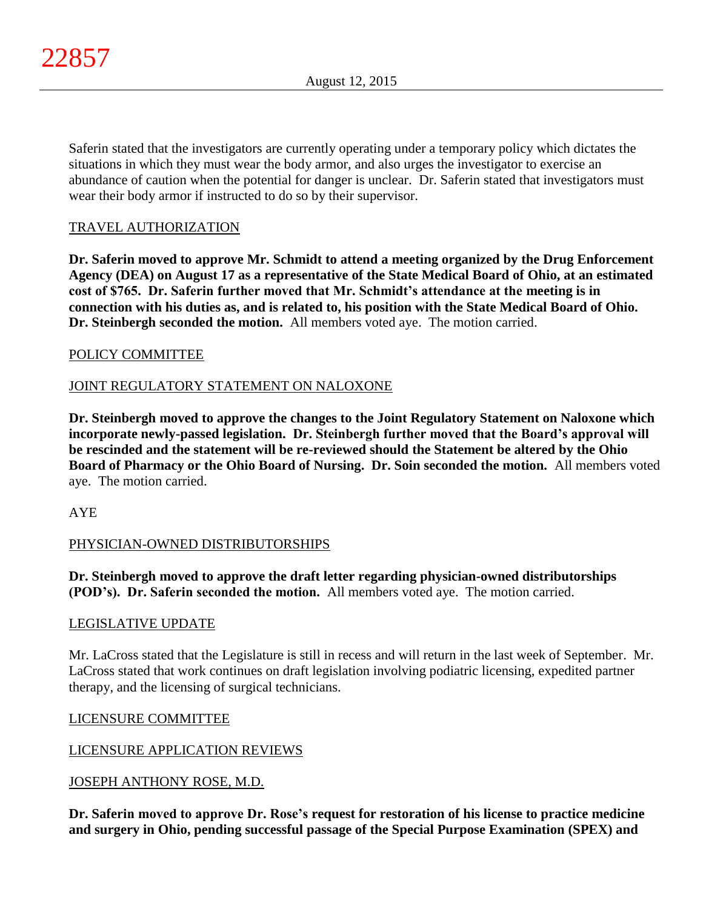Saferin stated that the investigators are currently operating under a temporary policy which dictates the situations in which they must wear the body armor, and also urges the investigator to exercise an abundance of caution when the potential for danger is unclear. Dr. Saferin stated that investigators must wear their body armor if instructed to do so by their supervisor.

# TRAVEL AUTHORIZATION

**Dr. Saferin moved to approve Mr. Schmidt to attend a meeting organized by the Drug Enforcement Agency (DEA) on August 17 as a representative of the State Medical Board of Ohio, at an estimated cost of \$765. Dr. Saferin further moved that Mr. Schmidt's attendance at the meeting is in connection with his duties as, and is related to, his position with the State Medical Board of Ohio. Dr. Steinbergh seconded the motion.** All members voted aye. The motion carried.

## POLICY COMMITTEE

# JOINT REGULATORY STATEMENT ON NALOXONE

**Dr. Steinbergh moved to approve the changes to the Joint Regulatory Statement on Naloxone which incorporate newly-passed legislation. Dr. Steinbergh further moved that the Board's approval will be rescinded and the statement will be re-reviewed should the Statement be altered by the Ohio Board of Pharmacy or the Ohio Board of Nursing. Dr. Soin seconded the motion.** All members voted aye. The motion carried.

AYE

# PHYSICIAN-OWNED DISTRIBUTORSHIPS

**Dr. Steinbergh moved to approve the draft letter regarding physician-owned distributorships (POD's). Dr. Saferin seconded the motion.** All members voted aye. The motion carried.

## LEGISLATIVE UPDATE

Mr. LaCross stated that the Legislature is still in recess and will return in the last week of September. Mr. LaCross stated that work continues on draft legislation involving podiatric licensing, expedited partner therapy, and the licensing of surgical technicians.

# LICENSURE COMMITTEE

# LICENSURE APPLICATION REVIEWS

# JOSEPH ANTHONY ROSE, M.D.

**Dr. Saferin moved to approve Dr. Rose's request for restoration of his license to practice medicine and surgery in Ohio, pending successful passage of the Special Purpose Examination (SPEX) and**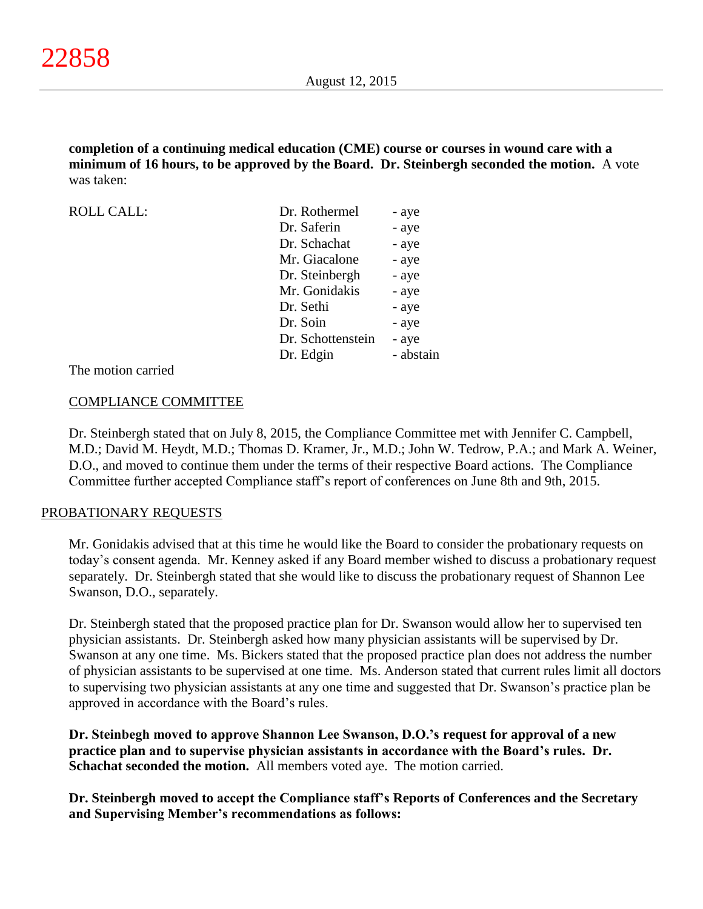**completion of a continuing medical education (CME) course or courses in wound care with a minimum of 16 hours, to be approved by the Board. Dr. Steinbergh seconded the motion.** A vote was taken:

| <b>ROLL CALL:</b> | Dr. Rothermel     | - aye     |
|-------------------|-------------------|-----------|
|                   | Dr. Saferin       | - aye     |
|                   | Dr. Schachat      | - aye     |
|                   | Mr. Giacalone     | - aye     |
|                   | Dr. Steinbergh    | - aye     |
|                   | Mr. Gonidakis     | - aye     |
|                   | Dr. Sethi         | - aye     |
|                   | Dr. Soin          | - aye     |
|                   | Dr. Schottenstein | - aye     |
|                   | Dr. Edgin         | - abstain |
|                   |                   |           |

The motion carried

## COMPLIANCE COMMITTEE

Dr. Steinbergh stated that on July 8, 2015, the Compliance Committee met with Jennifer C. Campbell, M.D.; David M. Heydt, M.D.; Thomas D. Kramer, Jr., M.D.; John W. Tedrow, P.A.; and Mark A. Weiner, D.O., and moved to continue them under the terms of their respective Board actions. The Compliance Committee further accepted Compliance staff's report of conferences on June 8th and 9th, 2015.

## PROBATIONARY REQUESTS

Mr. Gonidakis advised that at this time he would like the Board to consider the probationary requests on today's consent agenda. Mr. Kenney asked if any Board member wished to discuss a probationary request separately. Dr. Steinbergh stated that she would like to discuss the probationary request of Shannon Lee Swanson, D.O., separately.

Dr. Steinbergh stated that the proposed practice plan for Dr. Swanson would allow her to supervised ten physician assistants. Dr. Steinbergh asked how many physician assistants will be supervised by Dr. Swanson at any one time. Ms. Bickers stated that the proposed practice plan does not address the number of physician assistants to be supervised at one time. Ms. Anderson stated that current rules limit all doctors to supervising two physician assistants at any one time and suggested that Dr. Swanson's practice plan be approved in accordance with the Board's rules.

**Dr. Steinbegh moved to approve Shannon Lee Swanson, D.O.'s request for approval of a new practice plan and to supervise physician assistants in accordance with the Board's rules. Dr. Schachat seconded the motion.** All members voted aye. The motion carried.

**Dr. Steinbergh moved to accept the Compliance staff's Reports of Conferences and the Secretary and Supervising Member's recommendations as follows:**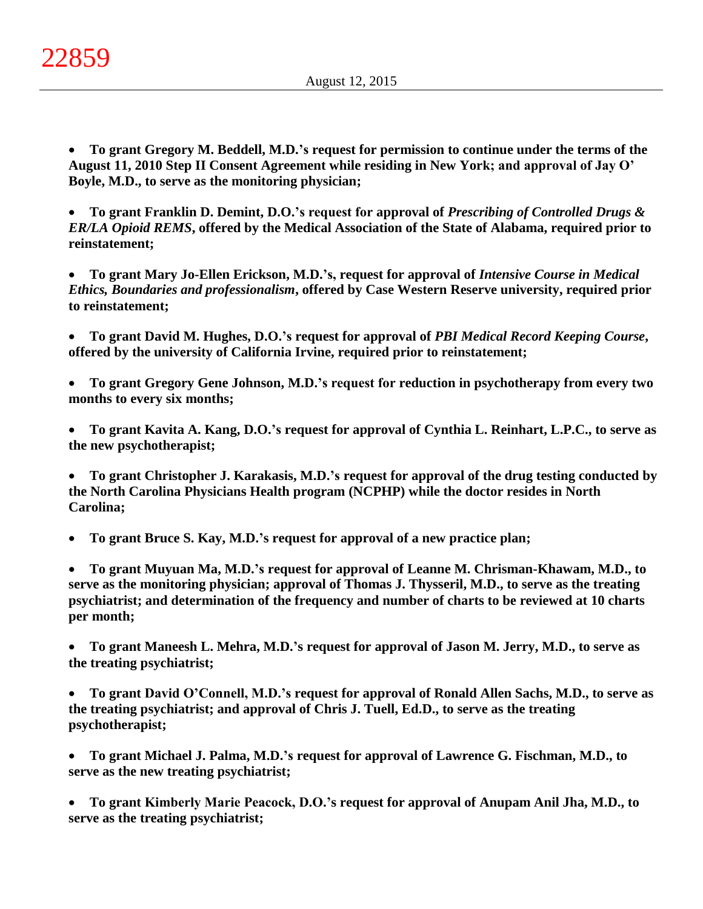**To grant Gregory M. Beddell, M.D.'s request for permission to continue under the terms of the August 11, 2010 Step II Consent Agreement while residing in New York; and approval of Jay O' Boyle, M.D., to serve as the monitoring physician;**

 **To grant Franklin D. Demint, D.O.'s request for approval of** *Prescribing of Controlled Drugs & ER/LA Opioid REMS***, offered by the Medical Association of the State of Alabama, required prior to reinstatement;**

 **To grant Mary Jo-Ellen Erickson, M.D.'s, request for approval of** *Intensive Course in Medical Ethics, Boundaries and professionalism***, offered by Case Western Reserve university, required prior to reinstatement;**

 **To grant David M. Hughes, D.O.'s request for approval of** *PBI Medical Record Keeping Course***, offered by the university of California Irvine, required prior to reinstatement;**

 **To grant Gregory Gene Johnson, M.D.'s request for reduction in psychotherapy from every two months to every six months;**

 **To grant Kavita A. Kang, D.O.'s request for approval of Cynthia L. Reinhart, L.P.C., to serve as the new psychotherapist;**

 **To grant Christopher J. Karakasis, M.D.'s request for approval of the drug testing conducted by the North Carolina Physicians Health program (NCPHP) while the doctor resides in North Carolina;**

**To grant Bruce S. Kay, M.D.'s request for approval of a new practice plan;**

 **To grant Muyuan Ma, M.D.'s request for approval of Leanne M. Chrisman-Khawam, M.D., to serve as the monitoring physician; approval of Thomas J. Thysseril, M.D., to serve as the treating psychiatrist; and determination of the frequency and number of charts to be reviewed at 10 charts per month;**

 **To grant Maneesh L. Mehra, M.D.'s request for approval of Jason M. Jerry, M.D., to serve as the treating psychiatrist;**

 **To grant David O'Connell, M.D.'s request for approval of Ronald Allen Sachs, M.D., to serve as the treating psychiatrist; and approval of Chris J. Tuell, Ed.D., to serve as the treating psychotherapist;**

 **To grant Michael J. Palma, M.D.'s request for approval of Lawrence G. Fischman, M.D., to serve as the new treating psychiatrist;**

 **To grant Kimberly Marie Peacock, D.O.'s request for approval of Anupam Anil Jha, M.D., to serve as the treating psychiatrist;**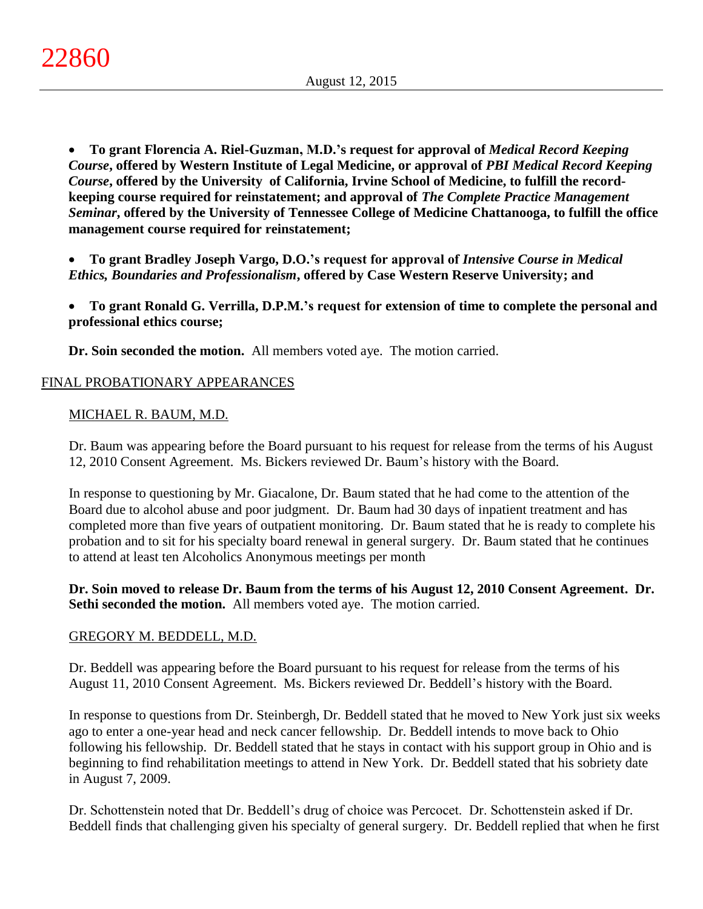**To grant Florencia A. Riel-Guzman, M.D.'s request for approval of** *Medical Record Keeping Course***, offered by Western Institute of Legal Medicine, or approval of** *PBI Medical Record Keeping Course***, offered by the University of California, Irvine School of Medicine, to fulfill the recordkeeping course required for reinstatement; and approval of** *The Complete Practice Management Seminar***, offered by the University of Tennessee College of Medicine Chattanooga, to fulfill the office management course required for reinstatement;**

 **To grant Bradley Joseph Vargo, D.O.'s request for approval of** *Intensive Course in Medical Ethics, Boundaries and Professionalism***, offered by Case Western Reserve University; and**

 **To grant Ronald G. Verrilla, D.P.M.'s request for extension of time to complete the personal and professional ethics course;**

**Dr. Soin seconded the motion.** All members voted aye. The motion carried.

# FINAL PROBATIONARY APPEARANCES

# MICHAEL R. BAUM, M.D.

Dr. Baum was appearing before the Board pursuant to his request for release from the terms of his August 12, 2010 Consent Agreement. Ms. Bickers reviewed Dr. Baum's history with the Board.

In response to questioning by Mr. Giacalone, Dr. Baum stated that he had come to the attention of the Board due to alcohol abuse and poor judgment. Dr. Baum had 30 days of inpatient treatment and has completed more than five years of outpatient monitoring. Dr. Baum stated that he is ready to complete his probation and to sit for his specialty board renewal in general surgery. Dr. Baum stated that he continues to attend at least ten Alcoholics Anonymous meetings per month

**Dr. Soin moved to release Dr. Baum from the terms of his August 12, 2010 Consent Agreement. Dr. Sethi seconded the motion.** All members voted aye. The motion carried.

# GREGORY M. BEDDELL, M.D.

Dr. Beddell was appearing before the Board pursuant to his request for release from the terms of his August 11, 2010 Consent Agreement. Ms. Bickers reviewed Dr. Beddell's history with the Board.

In response to questions from Dr. Steinbergh, Dr. Beddell stated that he moved to New York just six weeks ago to enter a one-year head and neck cancer fellowship. Dr. Beddell intends to move back to Ohio following his fellowship. Dr. Beddell stated that he stays in contact with his support group in Ohio and is beginning to find rehabilitation meetings to attend in New York. Dr. Beddell stated that his sobriety date in August 7, 2009.

Dr. Schottenstein noted that Dr. Beddell's drug of choice was Percocet. Dr. Schottenstein asked if Dr. Beddell finds that challenging given his specialty of general surgery. Dr. Beddell replied that when he first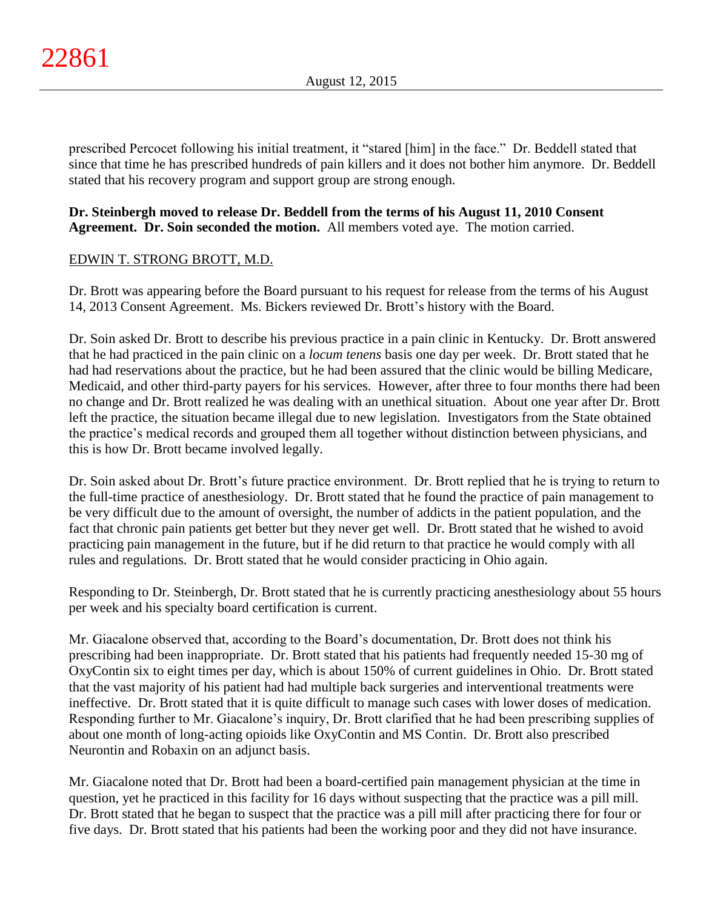prescribed Percocet following his initial treatment, it "stared [him] in the face." Dr. Beddell stated that since that time he has prescribed hundreds of pain killers and it does not bother him anymore. Dr. Beddell stated that his recovery program and support group are strong enough.

## **Dr. Steinbergh moved to release Dr. Beddell from the terms of his August 11, 2010 Consent Agreement. Dr. Soin seconded the motion.** All members voted aye. The motion carried.

# EDWIN T. STRONG BROTT, M.D.

Dr. Brott was appearing before the Board pursuant to his request for release from the terms of his August 14, 2013 Consent Agreement. Ms. Bickers reviewed Dr. Brott's history with the Board.

Dr. Soin asked Dr. Brott to describe his previous practice in a pain clinic in Kentucky. Dr. Brott answered that he had practiced in the pain clinic on a *locum tenens* basis one day per week. Dr. Brott stated that he had had reservations about the practice, but he had been assured that the clinic would be billing Medicare, Medicaid, and other third-party payers for his services. However, after three to four months there had been no change and Dr. Brott realized he was dealing with an unethical situation. About one year after Dr. Brott left the practice, the situation became illegal due to new legislation. Investigators from the State obtained the practice's medical records and grouped them all together without distinction between physicians, and this is how Dr. Brott became involved legally.

Dr. Soin asked about Dr. Brott's future practice environment. Dr. Brott replied that he is trying to return to the full-time practice of anesthesiology. Dr. Brott stated that he found the practice of pain management to be very difficult due to the amount of oversight, the number of addicts in the patient population, and the fact that chronic pain patients get better but they never get well. Dr. Brott stated that he wished to avoid practicing pain management in the future, but if he did return to that practice he would comply with all rules and regulations. Dr. Brott stated that he would consider practicing in Ohio again.

Responding to Dr. Steinbergh, Dr. Brott stated that he is currently practicing anesthesiology about 55 hours per week and his specialty board certification is current.

Mr. Giacalone observed that, according to the Board's documentation, Dr. Brott does not think his prescribing had been inappropriate. Dr. Brott stated that his patients had frequently needed 15-30 mg of OxyContin six to eight times per day, which is about 150% of current guidelines in Ohio. Dr. Brott stated that the vast majority of his patient had had multiple back surgeries and interventional treatments were ineffective. Dr. Brott stated that it is quite difficult to manage such cases with lower doses of medication. Responding further to Mr. Giacalone's inquiry, Dr. Brott clarified that he had been prescribing supplies of about one month of long-acting opioids like OxyContin and MS Contin. Dr. Brott also prescribed Neurontin and Robaxin on an adjunct basis.

Mr. Giacalone noted that Dr. Brott had been a board-certified pain management physician at the time in question, yet he practiced in this facility for 16 days without suspecting that the practice was a pill mill. Dr. Brott stated that he began to suspect that the practice was a pill mill after practicing there for four or five days. Dr. Brott stated that his patients had been the working poor and they did not have insurance.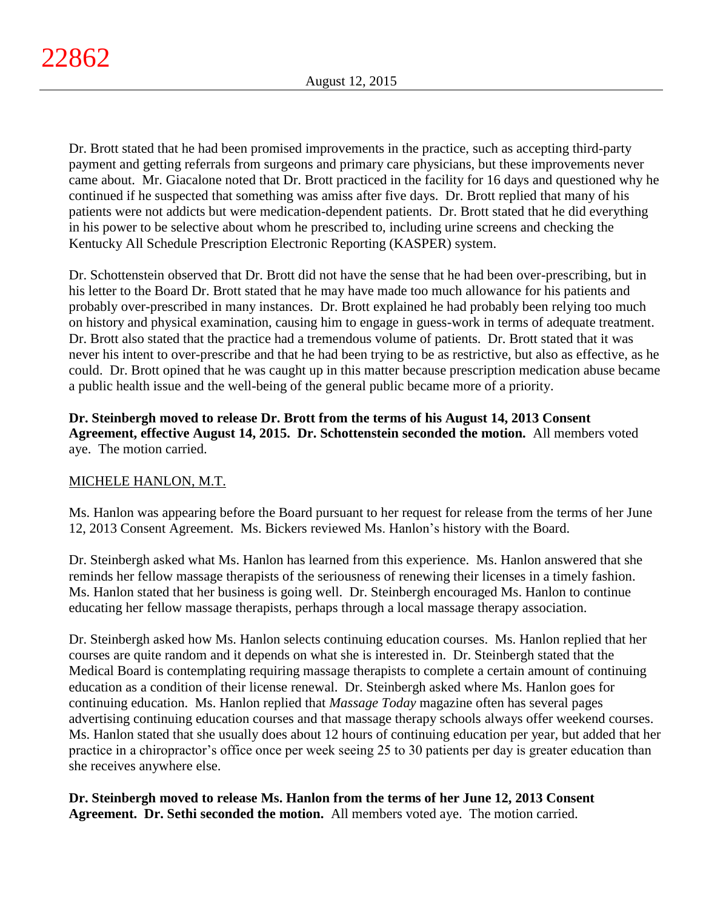Dr. Brott stated that he had been promised improvements in the practice, such as accepting third-party payment and getting referrals from surgeons and primary care physicians, but these improvements never came about. Mr. Giacalone noted that Dr. Brott practiced in the facility for 16 days and questioned why he continued if he suspected that something was amiss after five days. Dr. Brott replied that many of his patients were not addicts but were medication-dependent patients. Dr. Brott stated that he did everything in his power to be selective about whom he prescribed to, including urine screens and checking the Kentucky All Schedule Prescription Electronic Reporting (KASPER) system.

Dr. Schottenstein observed that Dr. Brott did not have the sense that he had been over-prescribing, but in his letter to the Board Dr. Brott stated that he may have made too much allowance for his patients and probably over-prescribed in many instances. Dr. Brott explained he had probably been relying too much on history and physical examination, causing him to engage in guess-work in terms of adequate treatment. Dr. Brott also stated that the practice had a tremendous volume of patients. Dr. Brott stated that it was never his intent to over-prescribe and that he had been trying to be as restrictive, but also as effective, as he could. Dr. Brott opined that he was caught up in this matter because prescription medication abuse became a public health issue and the well-being of the general public became more of a priority.

## **Dr. Steinbergh moved to release Dr. Brott from the terms of his August 14, 2013 Consent Agreement, effective August 14, 2015. Dr. Schottenstein seconded the motion.** All members voted aye. The motion carried.

# MICHELE HANLON, M.T.

Ms. Hanlon was appearing before the Board pursuant to her request for release from the terms of her June 12, 2013 Consent Agreement. Ms. Bickers reviewed Ms. Hanlon's history with the Board.

Dr. Steinbergh asked what Ms. Hanlon has learned from this experience. Ms. Hanlon answered that she reminds her fellow massage therapists of the seriousness of renewing their licenses in a timely fashion. Ms. Hanlon stated that her business is going well. Dr. Steinbergh encouraged Ms. Hanlon to continue educating her fellow massage therapists, perhaps through a local massage therapy association.

Dr. Steinbergh asked how Ms. Hanlon selects continuing education courses. Ms. Hanlon replied that her courses are quite random and it depends on what she is interested in. Dr. Steinbergh stated that the Medical Board is contemplating requiring massage therapists to complete a certain amount of continuing education as a condition of their license renewal. Dr. Steinbergh asked where Ms. Hanlon goes for continuing education. Ms. Hanlon replied that *Massage Today* magazine often has several pages advertising continuing education courses and that massage therapy schools always offer weekend courses. Ms. Hanlon stated that she usually does about 12 hours of continuing education per year, but added that her practice in a chiropractor's office once per week seeing 25 to 30 patients per day is greater education than she receives anywhere else.

**Dr. Steinbergh moved to release Ms. Hanlon from the terms of her June 12, 2013 Consent Agreement. Dr. Sethi seconded the motion.** All members voted aye. The motion carried.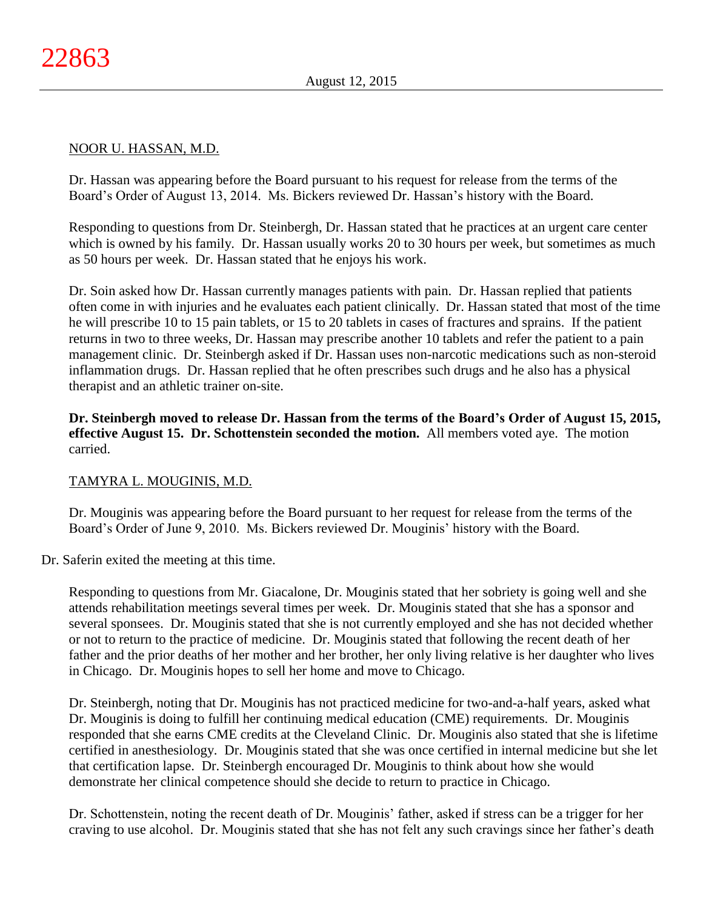## NOOR U. HASSAN, M.D.

Dr. Hassan was appearing before the Board pursuant to his request for release from the terms of the Board's Order of August 13, 2014. Ms. Bickers reviewed Dr. Hassan's history with the Board.

Responding to questions from Dr. Steinbergh, Dr. Hassan stated that he practices at an urgent care center which is owned by his family. Dr. Hassan usually works 20 to 30 hours per week, but sometimes as much as 50 hours per week. Dr. Hassan stated that he enjoys his work.

Dr. Soin asked how Dr. Hassan currently manages patients with pain. Dr. Hassan replied that patients often come in with injuries and he evaluates each patient clinically. Dr. Hassan stated that most of the time he will prescribe 10 to 15 pain tablets, or 15 to 20 tablets in cases of fractures and sprains. If the patient returns in two to three weeks, Dr. Hassan may prescribe another 10 tablets and refer the patient to a pain management clinic. Dr. Steinbergh asked if Dr. Hassan uses non-narcotic medications such as non-steroid inflammation drugs. Dr. Hassan replied that he often prescribes such drugs and he also has a physical therapist and an athletic trainer on-site.

**Dr. Steinbergh moved to release Dr. Hassan from the terms of the Board's Order of August 15, 2015, effective August 15. Dr. Schottenstein seconded the motion.** All members voted aye. The motion carried.

# TAMYRA L. MOUGINIS, M.D.

Dr. Mouginis was appearing before the Board pursuant to her request for release from the terms of the Board's Order of June 9, 2010. Ms. Bickers reviewed Dr. Mouginis' history with the Board.

Dr. Saferin exited the meeting at this time.

Responding to questions from Mr. Giacalone, Dr. Mouginis stated that her sobriety is going well and she attends rehabilitation meetings several times per week. Dr. Mouginis stated that she has a sponsor and several sponsees. Dr. Mouginis stated that she is not currently employed and she has not decided whether or not to return to the practice of medicine. Dr. Mouginis stated that following the recent death of her father and the prior deaths of her mother and her brother, her only living relative is her daughter who lives in Chicago. Dr. Mouginis hopes to sell her home and move to Chicago.

Dr. Steinbergh, noting that Dr. Mouginis has not practiced medicine for two-and-a-half years, asked what Dr. Mouginis is doing to fulfill her continuing medical education (CME) requirements. Dr. Mouginis responded that she earns CME credits at the Cleveland Clinic. Dr. Mouginis also stated that she is lifetime certified in anesthesiology. Dr. Mouginis stated that she was once certified in internal medicine but she let that certification lapse. Dr. Steinbergh encouraged Dr. Mouginis to think about how she would demonstrate her clinical competence should she decide to return to practice in Chicago.

Dr. Schottenstein, noting the recent death of Dr. Mouginis' father, asked if stress can be a trigger for her craving to use alcohol. Dr. Mouginis stated that she has not felt any such cravings since her father's death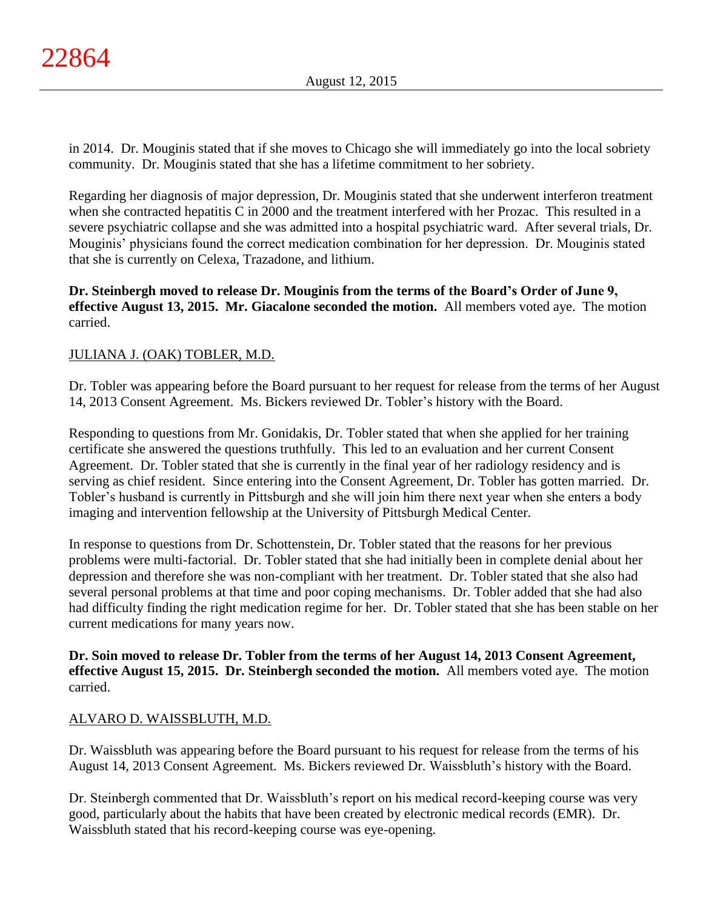in 2014. Dr. Mouginis stated that if she moves to Chicago she will immediately go into the local sobriety community. Dr. Mouginis stated that she has a lifetime commitment to her sobriety.

Regarding her diagnosis of major depression, Dr. Mouginis stated that she underwent interferon treatment when she contracted hepatitis C in 2000 and the treatment interfered with her Prozac. This resulted in a severe psychiatric collapse and she was admitted into a hospital psychiatric ward. After several trials, Dr. Mouginis' physicians found the correct medication combination for her depression. Dr. Mouginis stated that she is currently on Celexa, Trazadone, and lithium.

**Dr. Steinbergh moved to release Dr. Mouginis from the terms of the Board's Order of June 9, effective August 13, 2015. Mr. Giacalone seconded the motion.** All members voted aye. The motion carried.

# JULIANA J. (OAK) TOBLER, M.D.

Dr. Tobler was appearing before the Board pursuant to her request for release from the terms of her August 14, 2013 Consent Agreement. Ms. Bickers reviewed Dr. Tobler's history with the Board.

Responding to questions from Mr. Gonidakis, Dr. Tobler stated that when she applied for her training certificate she answered the questions truthfully. This led to an evaluation and her current Consent Agreement. Dr. Tobler stated that she is currently in the final year of her radiology residency and is serving as chief resident. Since entering into the Consent Agreement, Dr. Tobler has gotten married. Dr. Tobler's husband is currently in Pittsburgh and she will join him there next year when she enters a body imaging and intervention fellowship at the University of Pittsburgh Medical Center.

In response to questions from Dr. Schottenstein, Dr. Tobler stated that the reasons for her previous problems were multi-factorial. Dr. Tobler stated that she had initially been in complete denial about her depression and therefore she was non-compliant with her treatment. Dr. Tobler stated that she also had several personal problems at that time and poor coping mechanisms. Dr. Tobler added that she had also had difficulty finding the right medication regime for her. Dr. Tobler stated that she has been stable on her current medications for many years now.

**Dr. Soin moved to release Dr. Tobler from the terms of her August 14, 2013 Consent Agreement, effective August 15, 2015. Dr. Steinbergh seconded the motion.** All members voted aye. The motion carried.

# ALVARO D. WAISSBLUTH, M.D.

Dr. Waissbluth was appearing before the Board pursuant to his request for release from the terms of his August 14, 2013 Consent Agreement. Ms. Bickers reviewed Dr. Waissbluth's history with the Board.

Dr. Steinbergh commented that Dr. Waissbluth's report on his medical record-keeping course was very good, particularly about the habits that have been created by electronic medical records (EMR). Dr. Waissbluth stated that his record-keeping course was eye-opening.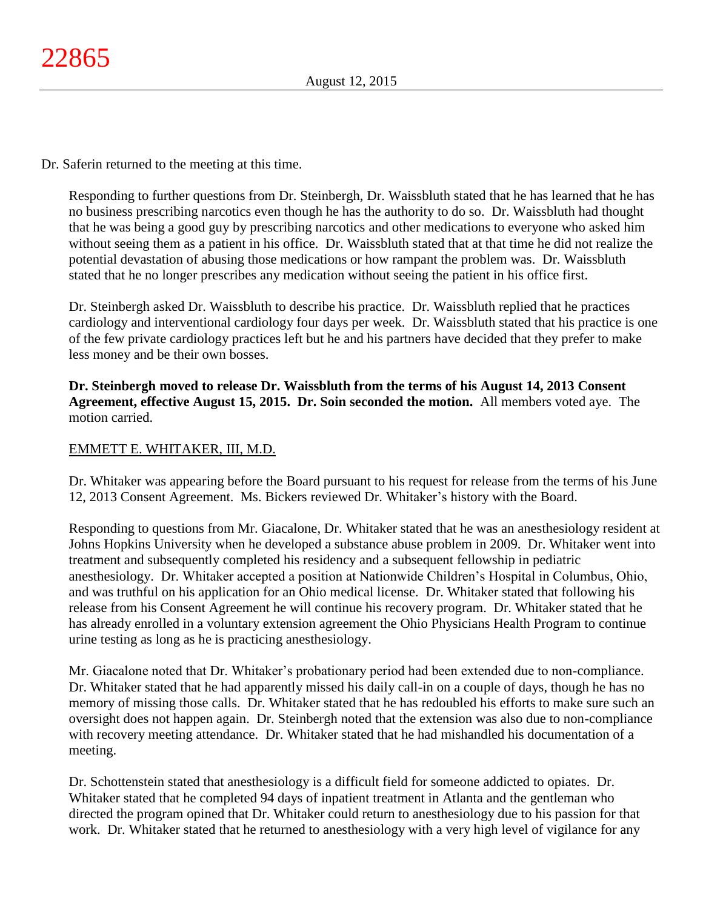Dr. Saferin returned to the meeting at this time.

Responding to further questions from Dr. Steinbergh, Dr. Waissbluth stated that he has learned that he has no business prescribing narcotics even though he has the authority to do so. Dr. Waissbluth had thought that he was being a good guy by prescribing narcotics and other medications to everyone who asked him without seeing them as a patient in his office. Dr. Waissbluth stated that at that time he did not realize the potential devastation of abusing those medications or how rampant the problem was. Dr. Waissbluth stated that he no longer prescribes any medication without seeing the patient in his office first.

Dr. Steinbergh asked Dr. Waissbluth to describe his practice. Dr. Waissbluth replied that he practices cardiology and interventional cardiology four days per week. Dr. Waissbluth stated that his practice is one of the few private cardiology practices left but he and his partners have decided that they prefer to make less money and be their own bosses.

**Dr. Steinbergh moved to release Dr. Waissbluth from the terms of his August 14, 2013 Consent Agreement, effective August 15, 2015. Dr. Soin seconded the motion.** All members voted aye. The motion carried.

# EMMETT E. WHITAKER, III, M.D.

Dr. Whitaker was appearing before the Board pursuant to his request for release from the terms of his June 12, 2013 Consent Agreement. Ms. Bickers reviewed Dr. Whitaker's history with the Board.

Responding to questions from Mr. Giacalone, Dr. Whitaker stated that he was an anesthesiology resident at Johns Hopkins University when he developed a substance abuse problem in 2009. Dr. Whitaker went into treatment and subsequently completed his residency and a subsequent fellowship in pediatric anesthesiology. Dr. Whitaker accepted a position at Nationwide Children's Hospital in Columbus, Ohio, and was truthful on his application for an Ohio medical license. Dr. Whitaker stated that following his release from his Consent Agreement he will continue his recovery program. Dr. Whitaker stated that he has already enrolled in a voluntary extension agreement the Ohio Physicians Health Program to continue urine testing as long as he is practicing anesthesiology.

Mr. Giacalone noted that Dr. Whitaker's probationary period had been extended due to non-compliance. Dr. Whitaker stated that he had apparently missed his daily call-in on a couple of days, though he has no memory of missing those calls. Dr. Whitaker stated that he has redoubled his efforts to make sure such an oversight does not happen again. Dr. Steinbergh noted that the extension was also due to non-compliance with recovery meeting attendance. Dr. Whitaker stated that he had mishandled his documentation of a meeting.

Dr. Schottenstein stated that anesthesiology is a difficult field for someone addicted to opiates. Dr. Whitaker stated that he completed 94 days of inpatient treatment in Atlanta and the gentleman who directed the program opined that Dr. Whitaker could return to anesthesiology due to his passion for that work. Dr. Whitaker stated that he returned to anesthesiology with a very high level of vigilance for any